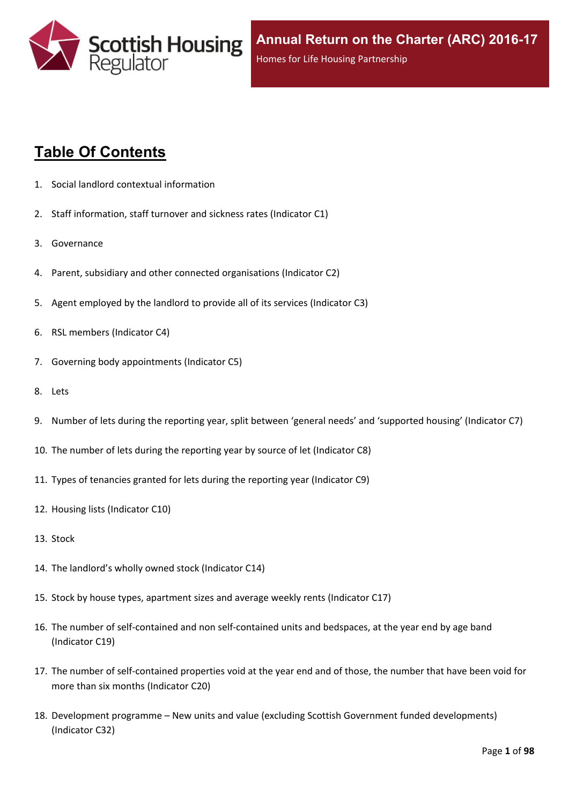

# **Table Of Contents**

- 1. Social landlord contextual [information](#page-5-0)
- 2. Staff [information,](#page-6-0) staff turnover and sickness rates (Indicator C1)
- 3. [Governance](#page-8-0)
- 4. Parent, subsidiary and other connected [organisations](#page-9-0) (Indicator C2)
- 5. Agent [employed](#page-10-0) by the landlord to provide all of its services (Indicator C3)
- 6. RSL members [\(Indicator](#page-11-0) C4)
- 7. Governing body [appointments](#page-12-0) (Indicator C5)
- 8. [Lets](#page-13-0)
- 9. Number of lets during the reporting year, split between 'general needs' and ['supported](#page-14-0) housing' (Indicator C7)
- 10. The number of lets during the reporting year by source of let [\(Indicator](#page-15-0) C8)
- 11. Types of tenancies granted for lets during the reporting year [\(Indicator](#page-16-0) C9)
- 12. Housing lists [\(Indicator](#page-17-0) C10)
- 13. [Stock](#page-18-0)
- 14. The [landlord's](#page-19-0) wholly owned stock (Indicator C14)
- 15. Stock by house types, [apartment](#page-20-0) sizes and average weekly rents (Indicator C17)
- 16. The number of self-contained and non [self-contained](#page-21-0) units and bedspaces, at the year end by age band [\(Indicator](#page-21-0) C19)
- 17. The number of [self-contained](#page-22-0) properties void at the year end and of those, the number that have been void for more than six months [\(Indicator](#page-22-0) C20)
- 18. [Development](#page-23-0) programme [–](#page-23-0) New units and value (excluding Scottish Government funded [developments\)](#page-23-0) [\(Indicator](#page-23-0) C32)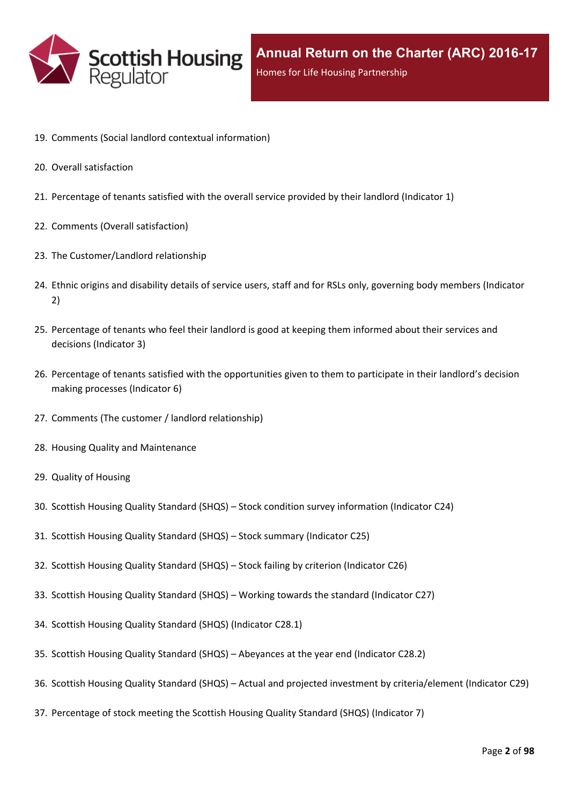

- 19. Comments (Social landlord contextual [information\)](#page-25-0)
- 20. Overall [satisfaction](#page-26-0)
- 21. [Percentage](#page-27-0) of tenants satisfied with the overall service provided by their landlord (Indicator 1)
- 22. Comments (Overall [satisfaction\)](#page-29-0)
- 23. The [Customer/Landlord](#page-30-0) relationship
- 24. Ethnic origins and disability details of service users, staff and for RSLs only, [governing](#page-31-0) body members (Indicator [2\)](#page-31-0)
- 25. [Percentage](#page-33-0) of tenants who feel their landlord is good at keeping them informed about their services and [decisions](#page-33-0) [\(Indicator](#page-33-0) 3)
- 26. Percentage of tenants satisfied with the [opportunities](#page-34-0) given to them to participate in their landlord's decision making [processes](#page-34-0) (Indicator 6)
- 27. Comments (The customer / landlord [relationship\)](#page-35-0)
- 28. Housing Quality and [Maintenance](#page-36-0)
- 29. Quality of [Housing](#page-37-0)
- 30. Scottish Housing Quality [Standard](#page-38-0) (SHQS) [–](#page-38-0) Stock condition survey [information](#page-38-0) (Indicator C24)
- 31. Scottish Housing Quality [Standard](#page-40-0) (SHQS) [–](#page-40-0) Stock summary [\(Indicator](#page-40-0) C25)
- 32. Scottish Housing Quality [Standard](#page-42-0) (SHQS) [–](#page-42-0) Stock failing by criterion [\(Indicator](#page-42-0) C26)
- 33. Scottish Housing Quality [Standard](#page-43-0) (SHQS) [–](#page-43-0) Working towards the standard [\(Indicator](#page-43-0) C27)
- 34. Scottish Housing Quality Standard (SHQS) [\(Indicator](#page-45-0) C28.1)
- 35. Scottish Housing Quality [Standard](#page-46-0) (SHQS) [–](#page-46-0) [Abeyances](#page-46-0) at the year end (Indicator C28.2)
- 36. Scottish Housing Quality [Standard](#page-47-0) (SHQS) [–](#page-47-0) Actual and projected investment by [criteria/element](#page-47-0) (Indicator C29)
- 37. [Percentage](#page-48-0) of stock meeting the Scottish Housing Quality Standard (SHQS) (Indicator 7)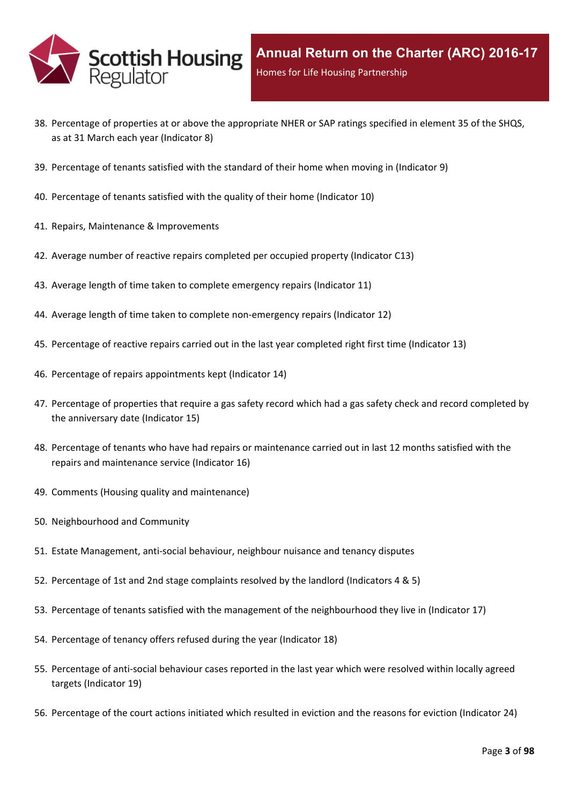

- 38. Percentage of properties at or above the [appropriate](#page-49-0) NHER or SAP ratings specified in element 35 of the SHQS, as at 31 March each year [\(Indicator](#page-49-0) 8)
- 39. [Percentage](#page-50-0) of tenants satisfied with the standard of their home when moving in (Indicator 9)
- 40. [Percentage](#page-51-0) of tenants satisfied with the quality of their home (Indicator 10)
- 41. Repairs, Maintenance & [Improvements](#page-52-0)
- 42. Average number of reactive repairs [completed](#page-53-0) per occupied property (Indicator C13)
- 43. Average length of time taken to complete [emergency](#page-54-0) repairs (Indicator 11)
- 44. Average length of time taken to complete [non-emergency](#page-55-0) repairs (Indicator 12)
- 45. [Percentage](#page-56-0) of reactive repairs carried out in the last year completed right first time (Indicator 13)
- 46. Percentage of repairs [appointments](#page-57-0) kept (Indicator 14)
- 47. [Percentage](#page-58-0) of properties that require a gas safety record which had a gas safety check and record completed by the [anniversary](#page-58-0) date (Indicator 15)
- 48. Percentage of tenants who have had repairs or [maintenance](#page-59-0) carried out in last 12 months satisfied with the repairs and [maintenance](#page-59-0) service (Indicator 16)
- 49. Comments (Housing quality and [maintenance\)](#page-60-0)
- 50. [Neighbourhood](#page-61-0) and Community
- 51. Estate [Management,](#page-62-0) anti-social behaviour, neighbour nuisance and tenancy disputes
- 52. [Percentage](#page-63-0) of 1st and 2nd stage complaints resolved by the landlord (Indicators 4 & 5)
- 53. Percentage of tenants satisfied with the management of the [neighbourhood](#page-66-0) they live in (Indicator 17)
- 54. [Percentage](#page-67-0) of tenancy offers refused during the year (Indicator 18)
- 55. [Percentage](#page-68-0) of anti-social behaviour cases reported in the last year which were resolved within locally agreed targets [\(Indicator](#page-68-0) 19)
- 56. [Percentage](#page-69-0) of the court actions initiated which resulted in eviction and the reasons for eviction (Indicator 24)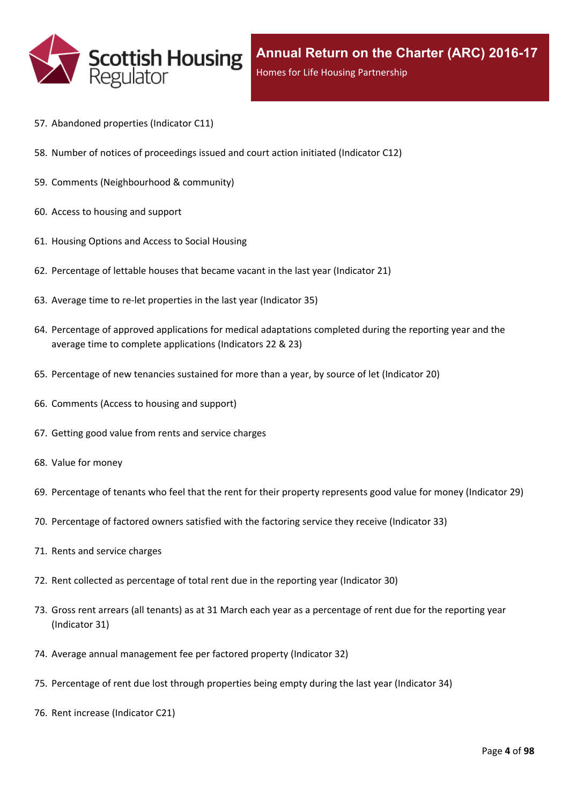

- 57. [Abandoned](#page-70-0) properties (Indicator C11)
- 58. Number of notices of [proceedings](#page-71-0) issued and court action initiated (Indicator C12)
- 59. Comments [\(Neighbourhood](#page-72-0) & community)
- 60. Access to [housing](#page-73-0) and support
- 61. [Housing](#page-74-0) Options and Access to Social Housing
- 62. [Percentage](#page-75-0) of lettable houses that became vacant in the last year (Indicator 21)
- 63. Average time to re-let [properties](#page-76-0) in the last year (Indicator 35)
- 64. Percentage of approved [applications](#page-77-0) for medical adaptations completed during the reporting year and the average time to complete [applications](#page-77-0) (Indicators 22 & 23)
- 65. [Percentage](#page-78-0) of new tenancies sustained for more than a year, by source of let (Indicator 20)
- 66. [Comments](#page-80-0) (Access to housing and support)
- 67. Getting good value from rents and service [charges](#page-81-0)
- 68. Value for [money](#page-82-0)
- 69. [Percentage](#page-83-0) of tenants who feel that the rent for their property represents good value for money (Indicator 29)
- 70. [Percentage](#page-84-0) of factored owners satisfied with the factoring service they receive (Indicator 33)
- 71. Rents and service [charges](#page-85-0)
- 72. Rent collected as [percentage](#page-86-0) of total rent due in the reporting year (Indicator 30)
- 73. Gross rent arrears (all tenants) as at 31 March each year as a [percentage](#page-87-0) of rent due for the reporting year [\(Indicator](#page-87-0) 31)
- 74. Average annual [management](#page-88-0) fee per factored property (Indicator 32)
- 75. [Percentage](#page-89-0) of rent due lost through properties being empty during the last year (Indicator 34)
- 76. Rent increase [\(Indicator](#page-90-0) C21)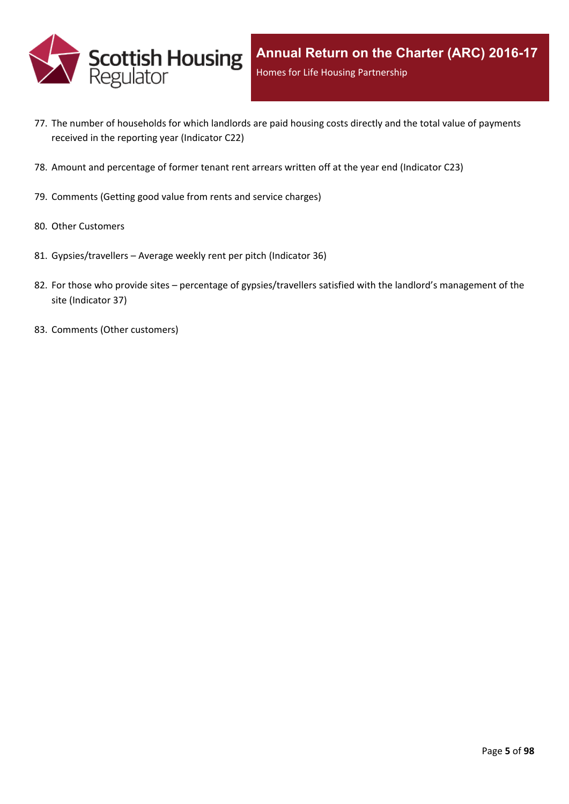

- 77. The number of [households](#page-91-0) for which landlords are paid housing costs directly and the total value of payments received in the reporting year [\(Indicator](#page-91-0) C22)
- 78. Amount and [percentage](#page-92-0) of former tenant rent arrears written off at the year end (Indicator C23)
- 79. [Comments](#page-93-0) (Getting good value from rents and service charges)
- 80. Other [Customers](#page-94-0)
- 81. [Gypsies/travellers](#page-95-0) [–](#page-95-0) Average weekly rent per pitch [\(Indicator](#page-95-0) 36)
- 82. For those who [provide](#page-96-0) sites [–](#page-96-0) percentage of [gypsies/travellers](#page-96-0) satisfied with the landlord's management of the site [\(Indicator](#page-96-0) 37)
- 83. Comments (Other [customers\)](#page-97-0)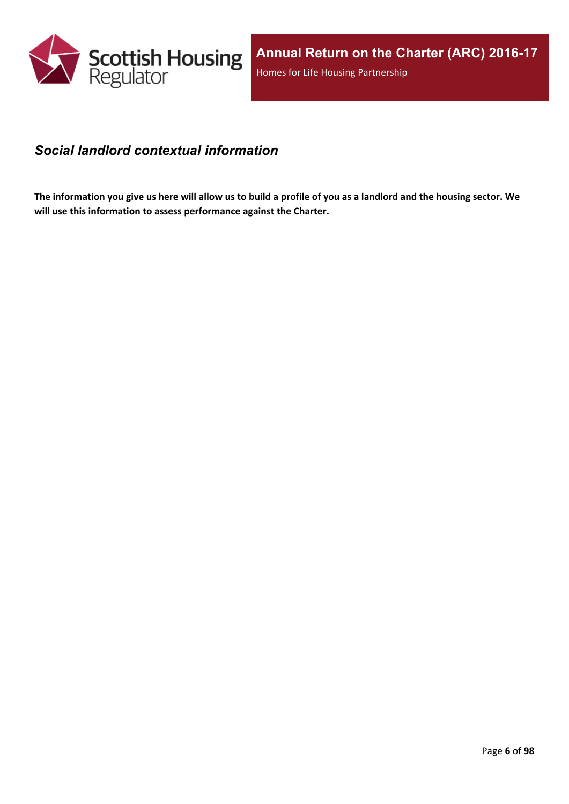

### <span id="page-5-0"></span>*Social landlord contextual information*

The information you give us here will allow us to build a profile of you as a landlord and the housing sector. We **will use this information to assess performance against the Charter.**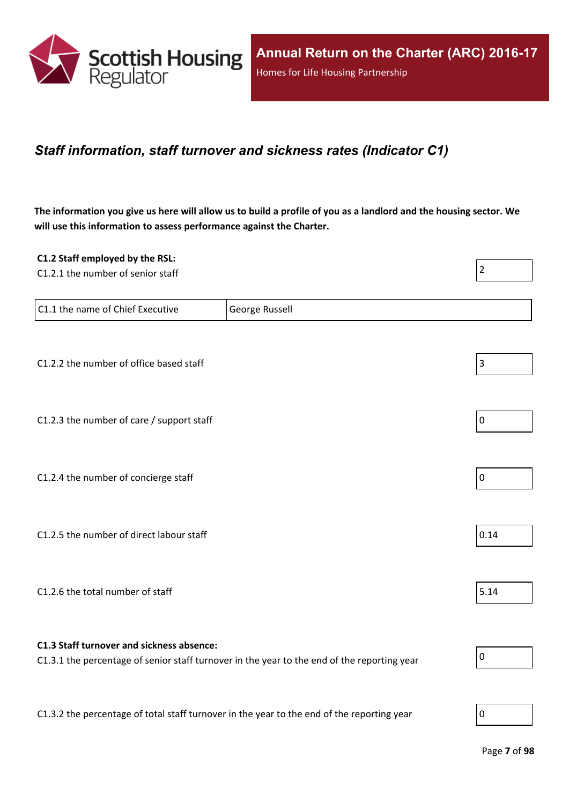

### <span id="page-6-0"></span>*Staff information, staff turnover and sickness rates (Indicator C1)*

The information you give us here will allow us to build a profile of you as a landlord and the housing sector. We **will use this information to assess performance against the Charter.**

| C1.2 Staff employed by the RSL:<br>C1.2.1 the number of senior staff                       |                                                                                             | $\overline{2}$   |
|--------------------------------------------------------------------------------------------|---------------------------------------------------------------------------------------------|------------------|
| C1.1 the name of Chief Executive                                                           | George Russell                                                                              |                  |
| C1.2.2 the number of office based staff                                                    |                                                                                             | 3                |
| C1.2.3 the number of care / support staff                                                  |                                                                                             | $\pmb{0}$        |
| C1.2.4 the number of concierge staff                                                       |                                                                                             | $\pmb{0}$        |
| C1.2.5 the number of direct labour staff                                                   |                                                                                             | 0.14             |
| C1.2.6 the total number of staff                                                           |                                                                                             | 5.14             |
| C1.3 Staff turnover and sickness absence:                                                  | C1.3.1 the percentage of senior staff turnover in the year to the end of the reporting year | $\mathbf 0$      |
| C1.3.2 the percentage of total staff turnover in the year to the end of the reporting year |                                                                                             | $\boldsymbol{0}$ |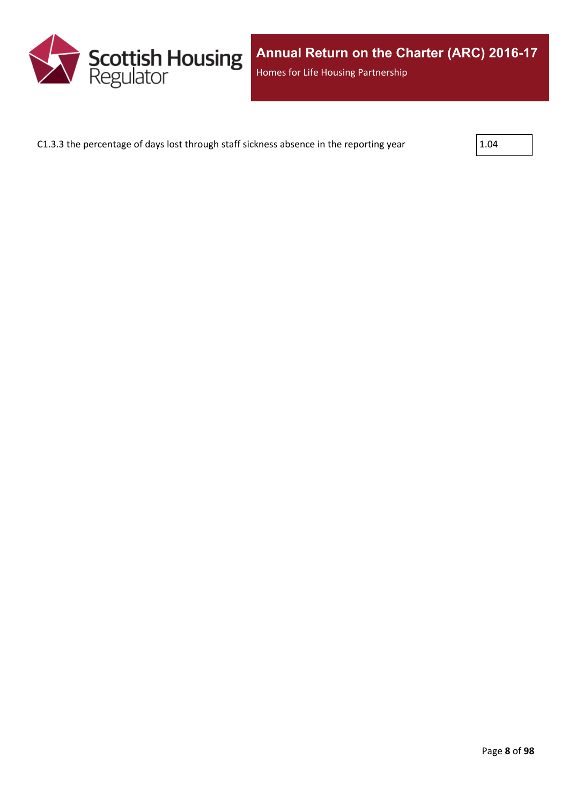

C1.3.3 the percentage of days lost through staff sickness absence in the reporting year  $1.04$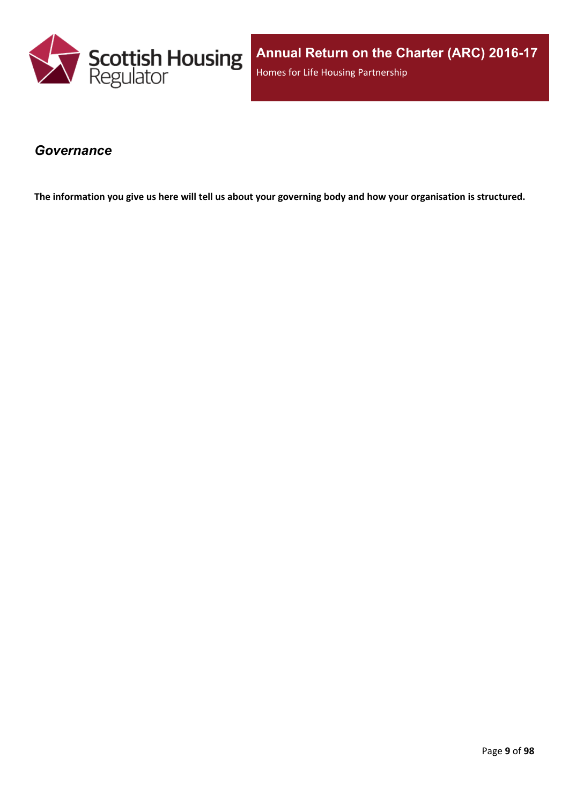

**Annual Return on the Charter (ARC) 2016-17** Homes for Life Housing Partnership

### <span id="page-8-0"></span>*Governance*

The information you give us here will tell us about your governing body and how your organisation is structured.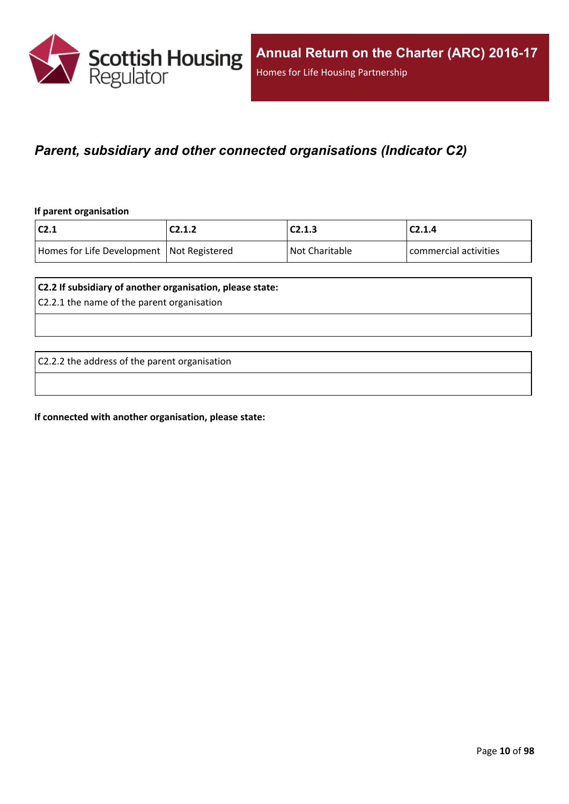

### <span id="page-9-0"></span>*Parent, subsidiary and other connected organisations (Indicator C2)*

#### **If parent organisation**

| $\mathsf{C2.1}$                             | C2.1.2 | C2.1.3         | C2.1.4                |
|---------------------------------------------|--------|----------------|-----------------------|
| Homes for Life Development   Not Registered |        | Not Charitable | commercial activities |

#### **C2.2 If subsidiary of another organisation, please state:**

C2.2.1 the name of the parent organisation

C2.2.2 the address of the parent organisation

**If connected with another organisation, please state:**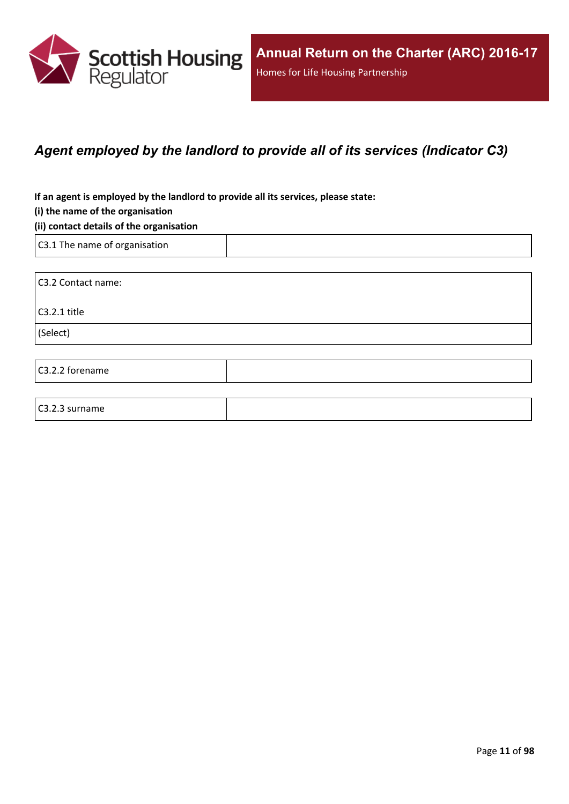

### <span id="page-10-0"></span>*Agent employed by the landlord to provide all of its services (Indicator C3)*

**If an agent is employed by the landlord to provide all its services, please state:**

#### **(i) the name of the organisation**

#### **(ii) contact details of the organisation**

C3.1 The name of organisation

C3.2.3 surname

C3.2 Contact name: C3.2.1 title (Select) C3.2.2 forename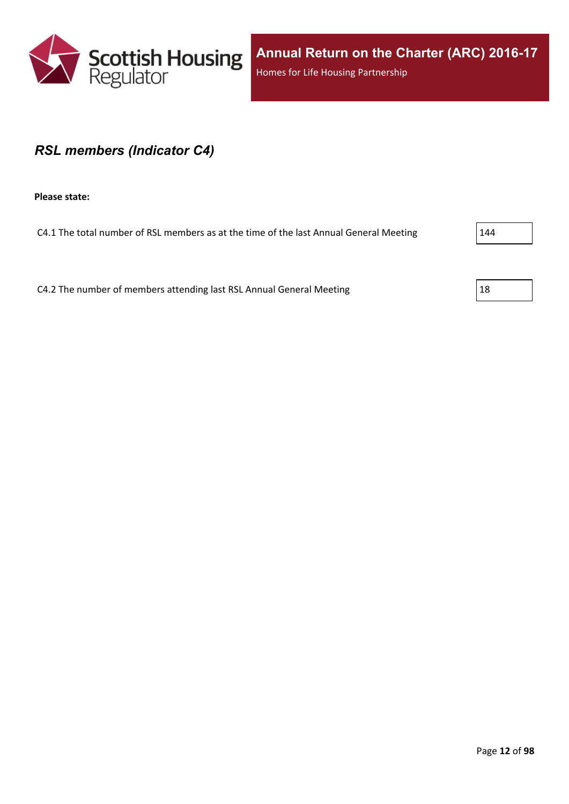

**Annual Return on the Charter (ARC) 2016-17** Homes for Life Housing Partnership

### <span id="page-11-0"></span>*RSL members (Indicator C4)*

**Please state:**

C4.1 The total number of RSL members as at the time of the last Annual General Meeting 2144

C4.2 The number of members attending last RSL Annual General Meeting  $\vert$  18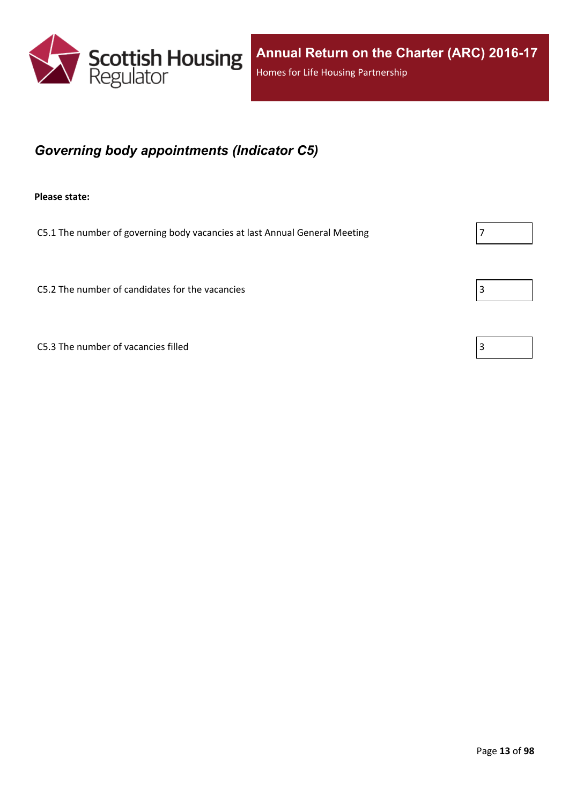

## <span id="page-12-0"></span>*Governing body appointments (Indicator C5)*

**Please state:**

C5.1 The number of governing body vacancies at last Annual General Meeting  $\vert$  7

C5.2 The number of candidates for the vacancies  $\vert$ 3

C5.3 The number of vacancies filled  $\sqrt{3}$ 

|--|

| Page 13 of 98 |  |  |
|---------------|--|--|
|               |  |  |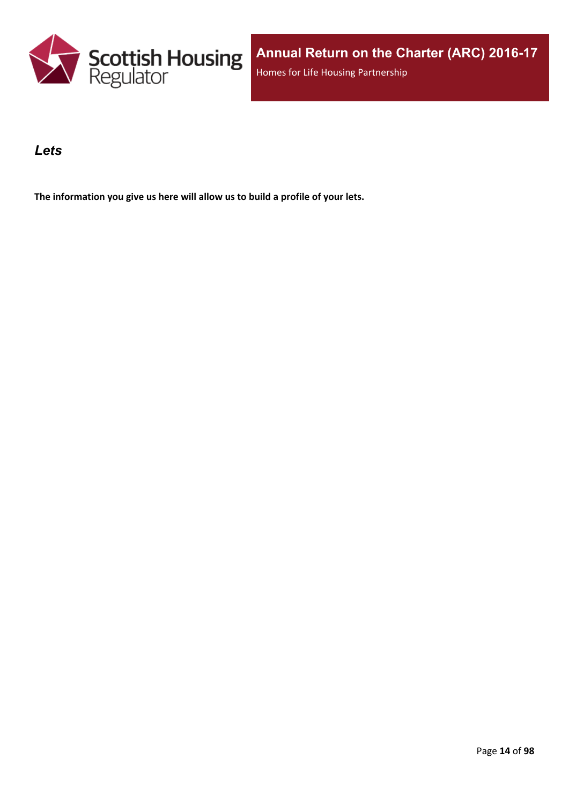

### <span id="page-13-0"></span>*Lets*

**The information you give us here will allow us to build a profile of your lets.**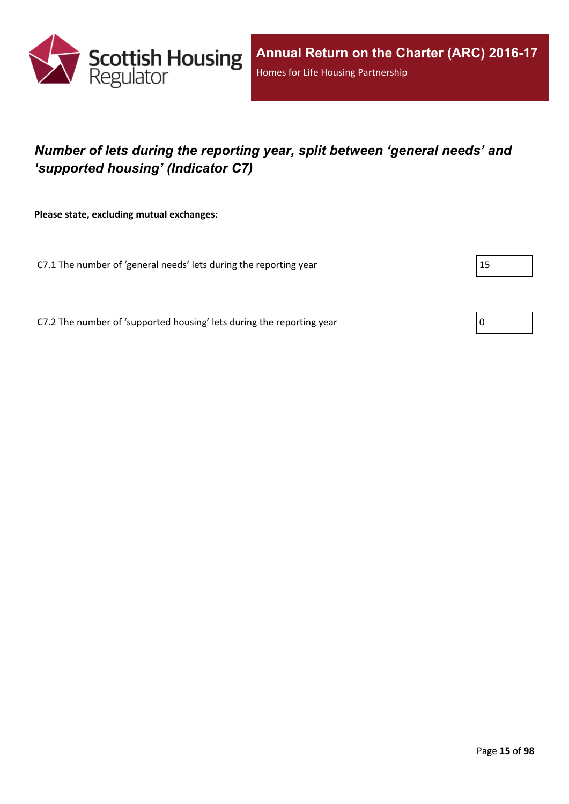

## <span id="page-14-0"></span>*Number of lets during the reporting year, split between 'general needs' and 'supported housing' (Indicator C7)*

**Please state, excluding mutual exchanges:**

C7.1 The number of 'general needs' lets during the reporting year  $|15|$ 

C7.2 The number of 'supported housing' lets during the reporting year  $\vert 0 \rangle$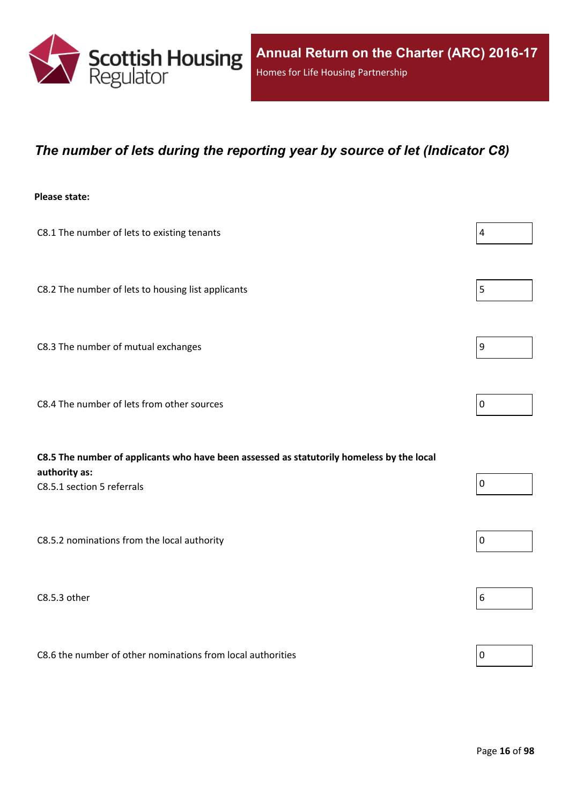

### <span id="page-15-0"></span>*The number of lets during the reporting year by source of let (Indicator C8)*

#### **Please state:**

| C8.1 The number of lets to existing tenants                                                                | $\overline{4}$ |
|------------------------------------------------------------------------------------------------------------|----------------|
| C8.2 The number of lets to housing list applicants                                                         | 5              |
| C8.3 The number of mutual exchanges                                                                        | $9\,$          |
| C8.4 The number of lets from other sources                                                                 | $\mathbf 0$    |
| C8.5 The number of applicants who have been assessed as statutorily homeless by the local<br>authority as: |                |
| C8.5.1 section 5 referrals                                                                                 | $\mathbf 0$    |
| C8.5.2 nominations from the local authority                                                                | $\mathbf 0$    |
| C8.5.3 other                                                                                               | 6              |

C8.6 the number of other nominations from local authorities  $\vert_0$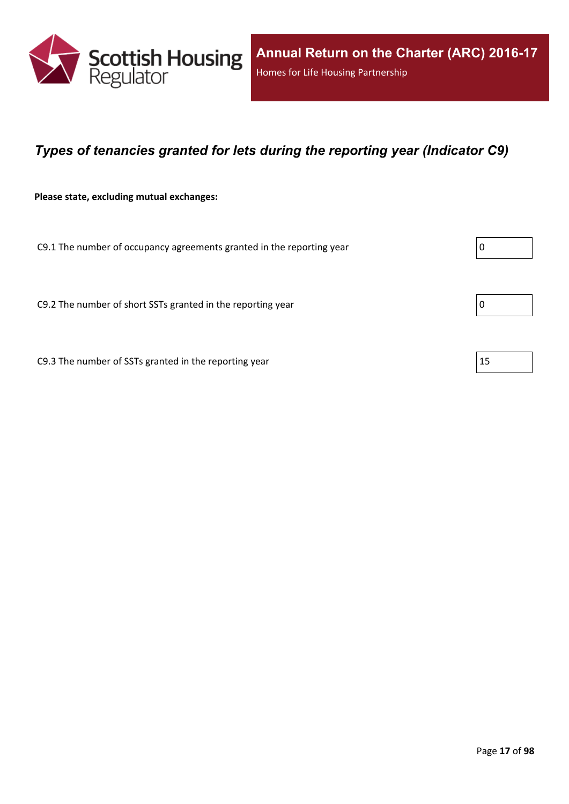

## <span id="page-16-0"></span>*Types of tenancies granted for lets during the reporting year (Indicator C9)*

**Please state, excluding mutual exchanges:**

C9.1 The number of occupancy agreements granted in the reporting year

C9.2 The number of short SSTs granted in the reporting year  $\vert$  0

C9.3 The number of SSTs granted in the reporting year  $15$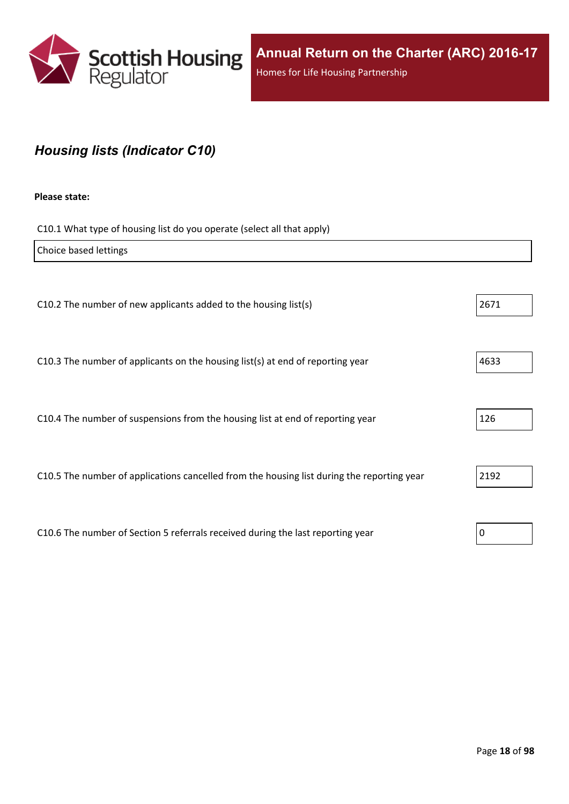

## <span id="page-17-0"></span>*Housing lists (Indicator C10)*

#### **Please state:**

C10.1 What type of housing list do you operate (select all that apply)

| Choice based lettings                                                                      |      |
|--------------------------------------------------------------------------------------------|------|
|                                                                                            |      |
| C10.2 The number of new applicants added to the housing list(s)                            | 2671 |
|                                                                                            |      |
| C10.3 The number of applicants on the housing list(s) at end of reporting year             | 4633 |
|                                                                                            |      |
| C10.4 The number of suspensions from the housing list at end of reporting year             | 126  |
|                                                                                            |      |
| C10.5 The number of applications cancelled from the housing list during the reporting year | 2192 |
|                                                                                            |      |
| C10.6 The number of Section 5 referrals received during the last reporting year            | 0    |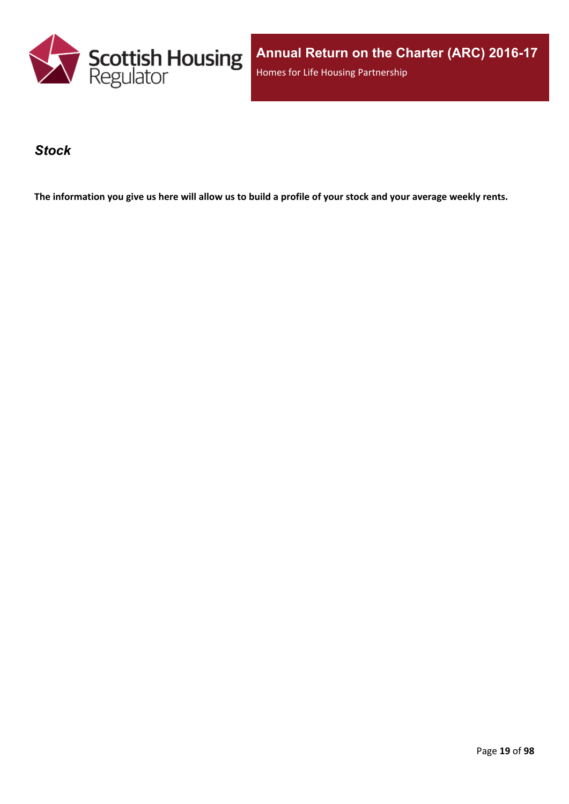

**Annual Return on the Charter (ARC) 2016-17** Homes for Life Housing Partnership

### <span id="page-18-0"></span>*Stock*

The information you give us here will allow us to build a profile of your stock and your average weekly rents.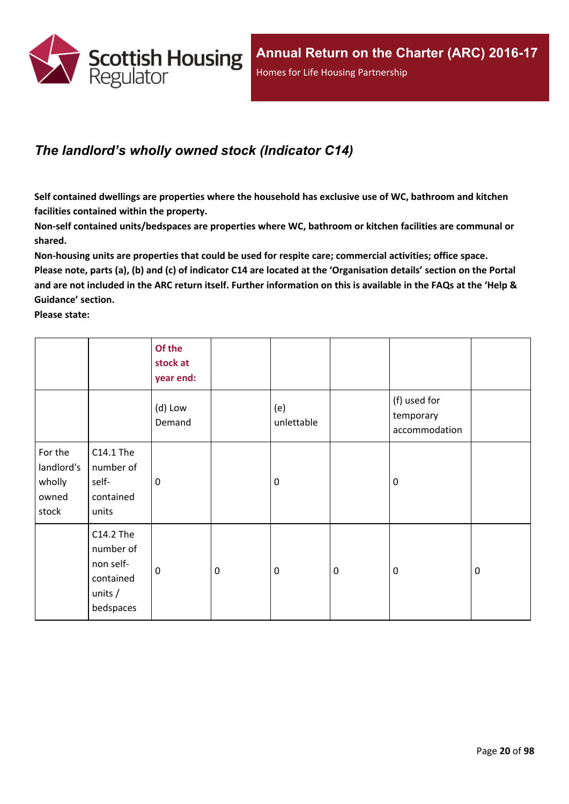

## <span id="page-19-0"></span>*The landlord's wholly owned stock (Indicator C14)*

**Self contained dwellings are properties where the household has exclusive use of WC, bathroom and kitchen facilities contained within the property.**

**Non-self contained units/bedspaces are properties where WC, bathroom or kitchen facilities are communal or shared.**

**Non-housing units are properties that could be used for respite care; commercial activities; office space.** Please note, parts (a), (b) and (c) of indicator C14 are located at the 'Organisation details' section on the Portal and are not included in the ARC return itself. Further information on this is available in the FAQs at the 'Help & **Guidance' section.**

**Please state:**

|                                                   |                                                                            | Of the<br>stock at<br>year end: |                  |                   |           |                                            |             |
|---------------------------------------------------|----------------------------------------------------------------------------|---------------------------------|------------------|-------------------|-----------|--------------------------------------------|-------------|
|                                                   |                                                                            | (d) Low<br>Demand               |                  | (e)<br>unlettable |           | (f) used for<br>temporary<br>accommodation |             |
| For the<br>landlord's<br>wholly<br>owned<br>stock | C14.1 The<br>number of<br>self-<br>contained<br>units                      | 0                               |                  | $\mathbf 0$       |           | $\mathbf 0$                                |             |
|                                                   | C14.2 The<br>number of<br>non self-<br>contained<br>units $/$<br>bedspaces | $\mathbf 0$                     | $\boldsymbol{0}$ | $\boldsymbol{0}$  | $\pmb{0}$ | $\mathbf 0$                                | $\mathbf 0$ |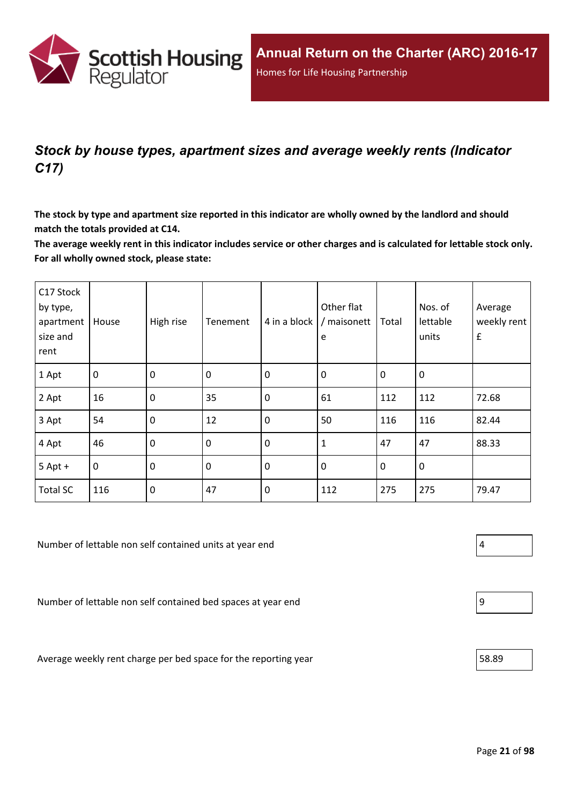

## <span id="page-20-0"></span>*Stock by house types, apartment sizes and average weekly rents (Indicator C17)*

The stock by type and apartment size reported in this indicator are wholly owned by the landlord and should **match the totals provided at C14.**

The average weekly rent in this indicator includes service or other charges and is calculated for lettable stock only. **For all wholly owned stock, please state:**

| C17 Stock<br>by type,<br>apartment<br>size and<br>rent | House       | High rise        | Tenement    | 4 in a block | Other flat<br>/ maisonett<br>e | Total       | Nos. of<br>lettable<br>units | Average<br>weekly rent<br>$\pmb{\mathsf{f}}$ |
|--------------------------------------------------------|-------------|------------------|-------------|--------------|--------------------------------|-------------|------------------------------|----------------------------------------------|
| 1 Apt                                                  | $\mathbf 0$ | $\mathbf 0$      | $\mathbf 0$ | $\mathbf 0$  | 0                              | $\mathbf 0$ | $\mathbf 0$                  |                                              |
| 2 Apt                                                  | 16          | $\mathbf 0$      | 35          | $\mathbf 0$  | 61                             | 112         | 112                          | 72.68                                        |
| 3 Apt                                                  | 54          | $\mathbf 0$      | 12          | $\mathbf 0$  | 50                             | 116         | 116                          | 82.44                                        |
| 4 Apt                                                  | 46          | $\mathbf 0$      | $\mathbf 0$ | $\mathbf 0$  | $\mathbf{1}$                   | 47          | 47                           | 88.33                                        |
| $5$ Apt +                                              | $\mathbf 0$ | $\mathbf 0$      | $\pmb{0}$   | $\mathbf 0$  | 0                              | $\mathbf 0$ | $\mathbf 0$                  |                                              |
| <b>Total SC</b>                                        | 116         | $\boldsymbol{0}$ | 47          | $\mathbf 0$  | 112                            | 275         | 275                          | 79.47                                        |

Number of lettable non self contained units at year end  $\vert 4 \vert$ 

Number of lettable non self contained bed spaces at year end 9

Average weekly rent charge per bed space for the reporting year 58.89



|  | 9 |
|--|---|
|--|---|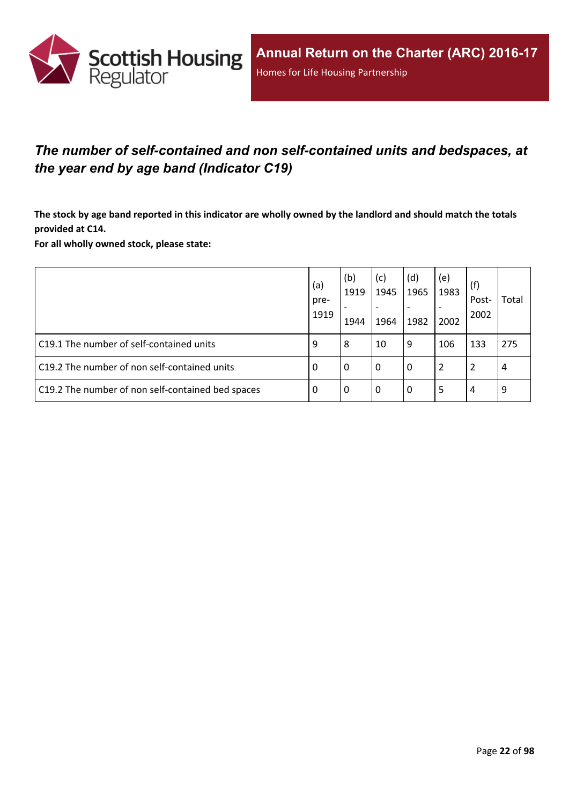

## <span id="page-21-0"></span>*The number of self-contained and non self-contained units and bedspaces, at the year end by age band (Indicator C19)*

The stock by age band reported in this indicator are wholly owned by the landlord and should match the totals **provided at C14.**

**For all wholly owned stock, please state:**

|                                                   | (a)<br>pre-<br>1919 | (b)<br>1919<br>1944 | (c)<br>1945<br>1964 | (d)<br>1965<br>1982 | (e)<br>1983<br>2002 | (f)<br>Post-<br>2002 | Total |
|---------------------------------------------------|---------------------|---------------------|---------------------|---------------------|---------------------|----------------------|-------|
| C19.1 The number of self-contained units          | 9                   | 8                   | 10                  | 9                   | 106                 | 133                  | 275   |
| C19.2 The number of non self-contained units      | 0                   | 0                   | 0                   | 0                   | 2                   | 2                    | 4     |
| C19.2 The number of non self-contained bed spaces | 0                   | 0                   | 0                   | 0                   | 5                   | 4                    | 9     |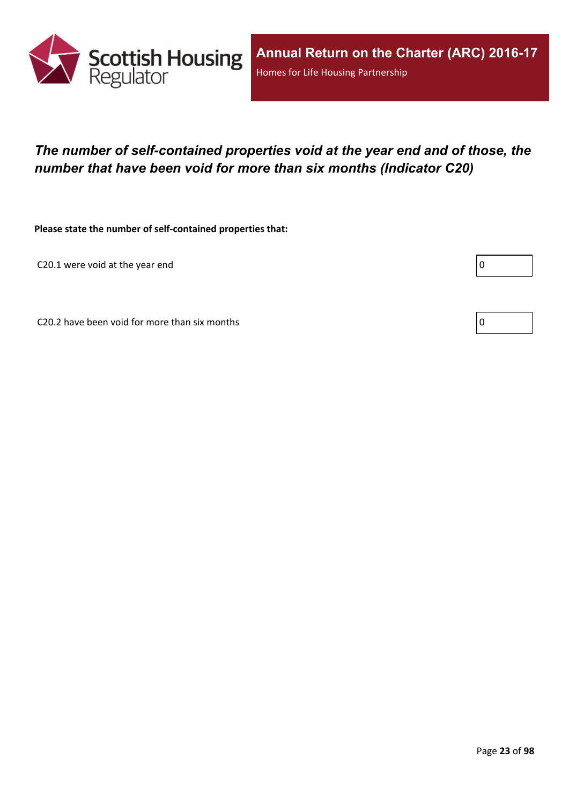

## <span id="page-22-0"></span>*The number of self-contained properties void at the year end and of those, the number that have been void for more than six months (Indicator C20)*

**Please state the number of self-contained properties that:**

C20.1 were void at the year end

C20.2 have been void for more than six months  $\vert 0 \rangle$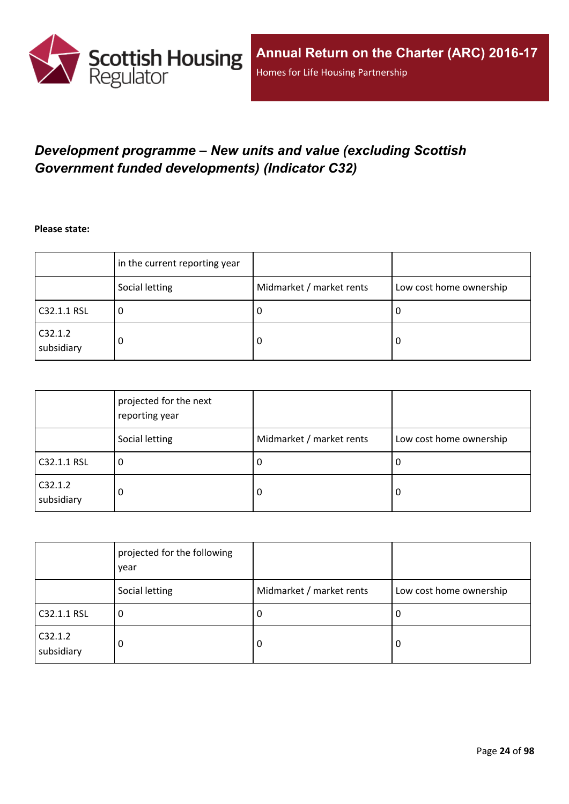

## <span id="page-23-0"></span>*Development programme – New units and value (excluding Scottish Government funded developments) (Indicator C32)*

**Please state:**

|                       | in the current reporting year |                          |                         |
|-----------------------|-------------------------------|--------------------------|-------------------------|
|                       | Social letting                | Midmarket / market rents | Low cost home ownership |
| C32.1.1 RSL           | υ                             | υ                        | ∣U                      |
| C32.1.2<br>subsidiary | 0                             | υ                        | -0                      |

|                       | projected for the next<br>reporting year |                          |                         |
|-----------------------|------------------------------------------|--------------------------|-------------------------|
|                       | Social letting                           | Midmarket / market rents | Low cost home ownership |
| C32.1.1 RSL           | 0                                        | -U                       | 0                       |
| C32.1.2<br>subsidiary | 0                                        | -0                       | 0                       |

|                       | projected for the following<br>year |                          |                         |
|-----------------------|-------------------------------------|--------------------------|-------------------------|
|                       | Social letting                      | Midmarket / market rents | Low cost home ownership |
| C32.1.1 RSL           | 0                                   | -U                       | 0                       |
| C32.1.2<br>subsidiary | 0                                   | 0                        | 0                       |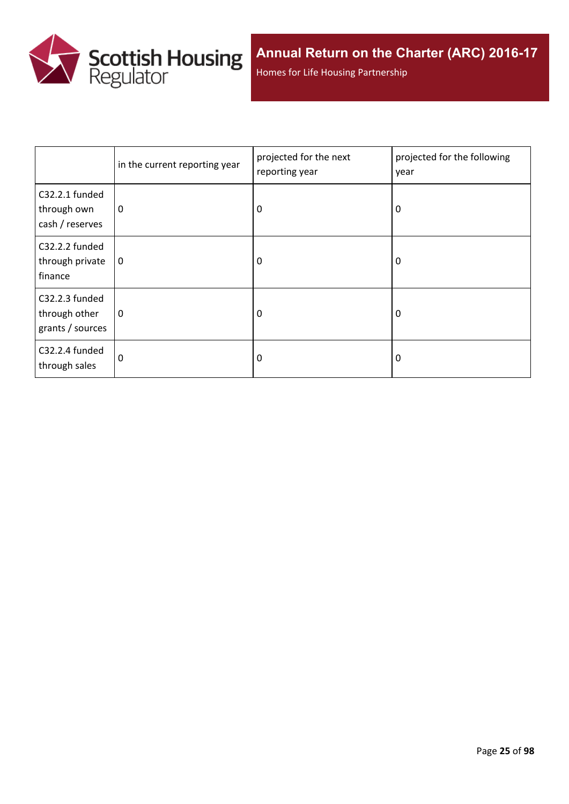

Homes for Life Housing Partnership

|                                                     | in the current reporting year | projected for the next<br>reporting year | projected for the following<br>year |
|-----------------------------------------------------|-------------------------------|------------------------------------------|-------------------------------------|
| C32.2.1 funded<br>through own<br>cash / reserves    | 0                             | 0                                        | 0                                   |
| C32.2.2 funded<br>through private<br>finance        | 0                             | 0                                        | 0                                   |
| C32.2.3 funded<br>through other<br>grants / sources | 0                             | 0                                        | 0                                   |
| C32.2.4 funded<br>through sales                     | $\Omega$                      | 0                                        | 0                                   |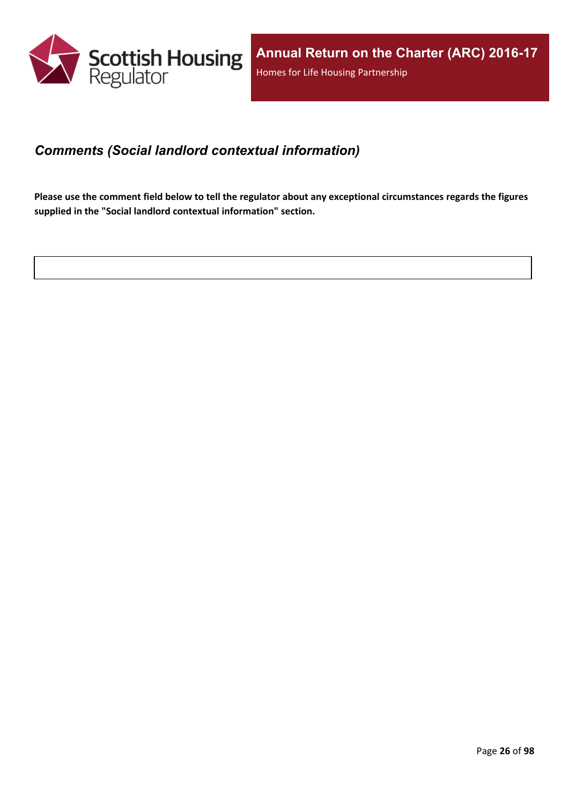

### <span id="page-25-0"></span>*Comments (Social landlord contextual information)*

Please use the comment field below to tell the regulator about any exceptional circumstances regards the figures **supplied in the "Social landlord contextual information" section.**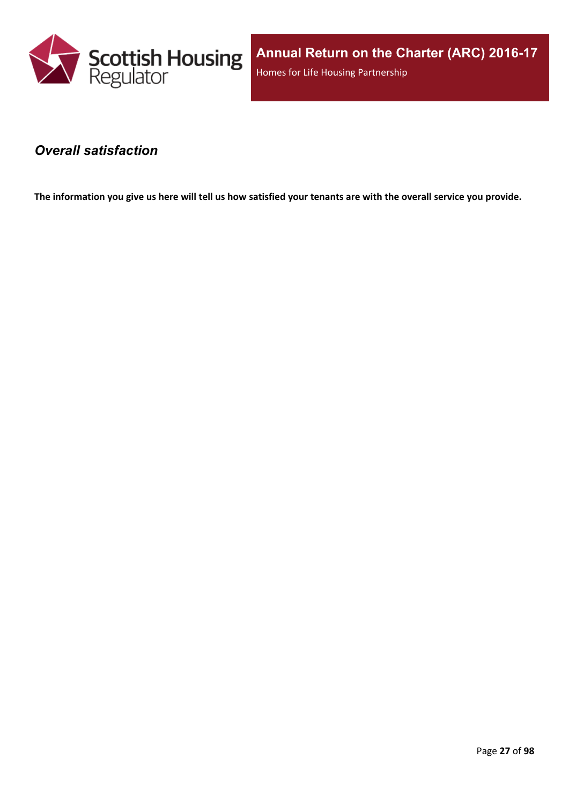

### <span id="page-26-0"></span>*Overall satisfaction*

The information you give us here will tell us how satisfied your tenants are with the overall service you provide.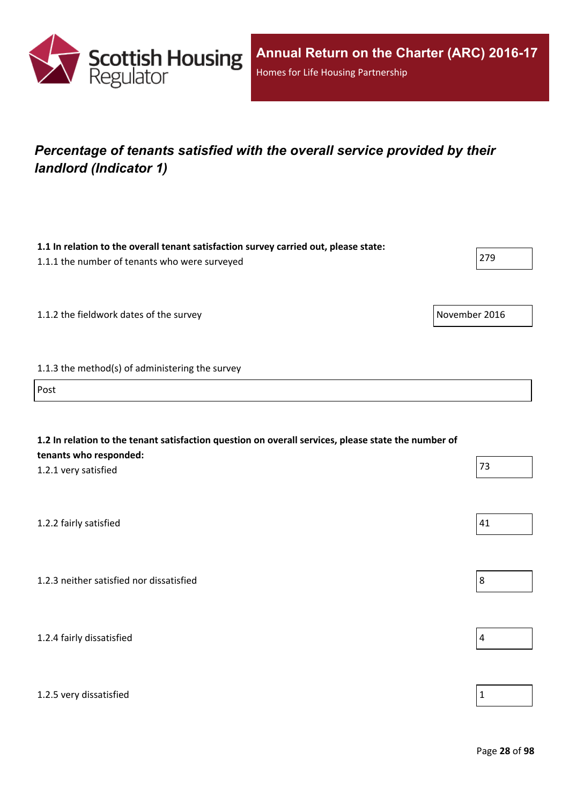

## <span id="page-27-0"></span>*Percentage of tenants satisfied with the overall service provided by their landlord (Indicator 1)*

| 1.1 In relation to the overall tenant satisfaction survey carried out, please state:<br>1.1.1 the number of tenants who were surveyed                 | 279            |
|-------------------------------------------------------------------------------------------------------------------------------------------------------|----------------|
| 1.1.2 the fieldwork dates of the survey                                                                                                               | November 2016  |
| 1.1.3 the method(s) of administering the survey                                                                                                       |                |
| Post                                                                                                                                                  |                |
| 1.2 In relation to the tenant satisfaction question on overall services, please state the number of<br>tenants who responded:<br>1.2.1 very satisfied | 73             |
| 1.2.2 fairly satisfied                                                                                                                                | 41             |
| 1.2.3 neither satisfied nor dissatisfied                                                                                                              | $\overline{8}$ |
| 1.2.4 fairly dissatisfied                                                                                                                             | $\pmb{4}$      |
| 1.2.5 very dissatisfied                                                                                                                               | $\mathbf 1$    |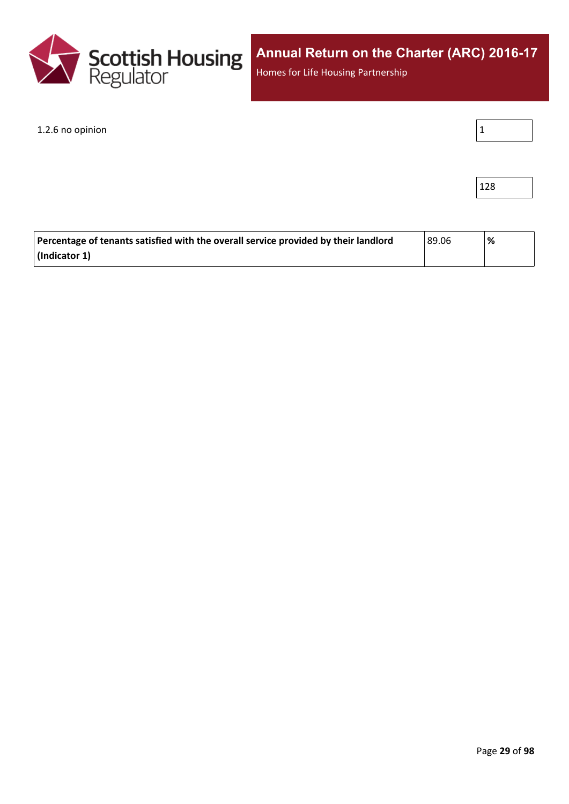

Homes for Life Housing Partnership

1.2.6 no opinion

|--|

| ۰. |  |
|----|--|
|----|--|

| Percentage of tenants satisfied with the overall service provided by their landlord | 89.06 | % |
|-------------------------------------------------------------------------------------|-------|---|
| $\vert$ (Indicator 1)                                                               |       |   |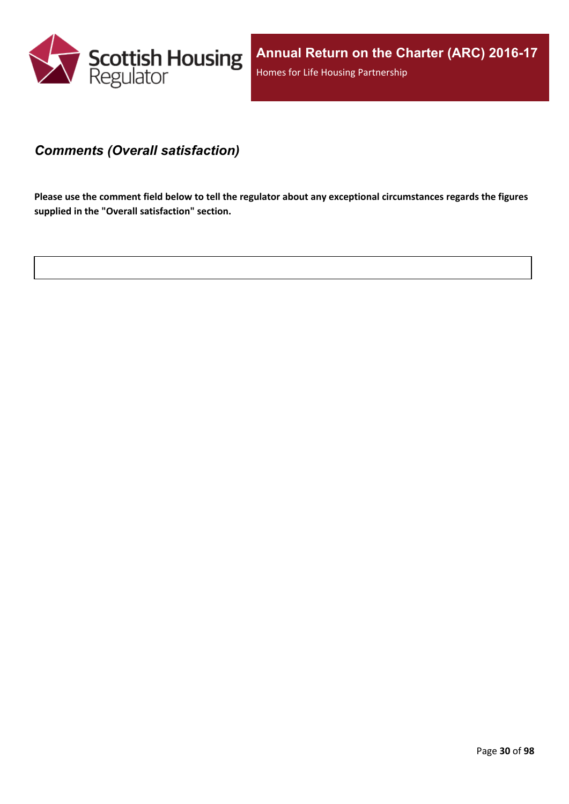

### <span id="page-29-0"></span>*Comments (Overall satisfaction)*

Please use the comment field below to tell the regulator about any exceptional circumstances regards the figures **supplied in the "Overall satisfaction" section.**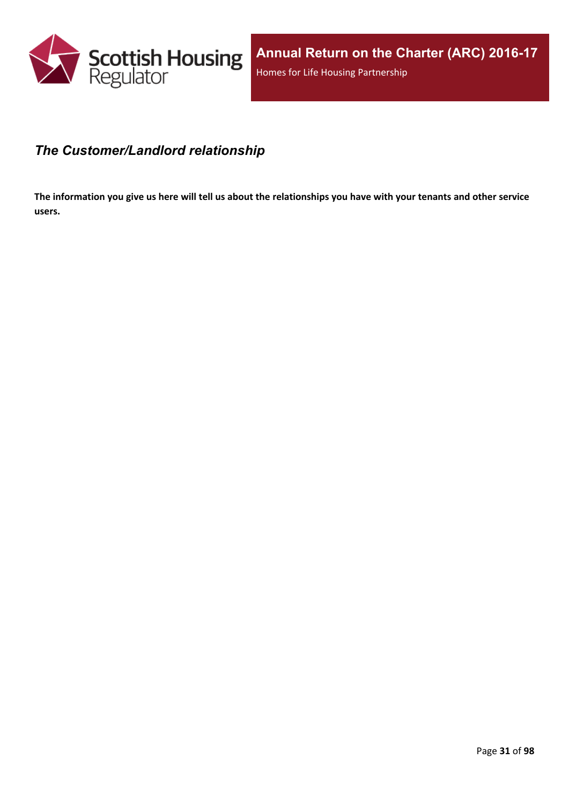

### <span id="page-30-0"></span>*The Customer/Landlord relationship*

The information you give us here will tell us about the relationships you have with your tenants and other service **users.**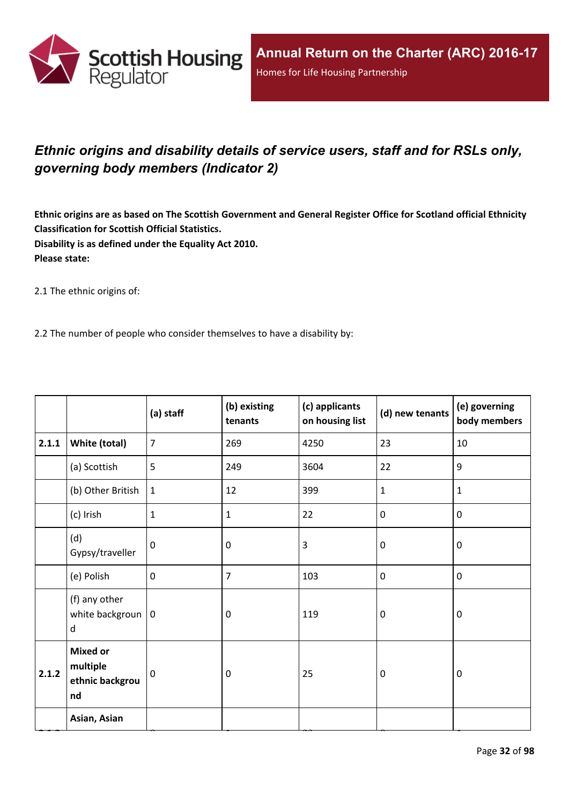

## <span id="page-31-0"></span>*Ethnic origins and disability details of service users, staff and for RSLs only, governing body members (Indicator 2)*

Ethnic origins are as based on The Scottish Government and General Register Office for Scotland official Ethnicity **Classification for Scottish Official Statistics. Disability is as defined under the Equality Act 2010. Please state:**

2.1 The ethnic origins of:

2.2 The number of people who consider themselves to have a disability by:

|       |                                                      | (a) staff      | (b) existing<br>tenants | (c) applicants<br>on housing list | (d) new tenants | (e) governing<br>body members |
|-------|------------------------------------------------------|----------------|-------------------------|-----------------------------------|-----------------|-------------------------------|
| 2.1.1 | White (total)                                        | $\overline{7}$ | 269                     | 4250                              | 23              | $10\,$                        |
|       | (a) Scottish                                         | 5              | 249                     | 3604                              | 22              | 9                             |
|       | (b) Other British                                    | $\mathbf{1}$   | 12                      | 399                               | $\mathbf{1}$    | $\mathbf{1}$                  |
|       | (c) Irish                                            | $\mathbf{1}$   | $\mathbf{1}$            | 22                                | $\pmb{0}$       | $\pmb{0}$                     |
|       | (d)<br>Gypsy/traveller                               | $\mathbf 0$    | 0                       | 3                                 | $\mathbf 0$     | $\mathbf 0$                   |
|       | (e) Polish                                           | $\mathbf 0$    | 7                       | 103                               | $\pmb{0}$       | $\mathbf 0$                   |
|       | (f) any other<br>white backgroun $ 0$<br>d           |                | 0                       | 119                               | $\mathbf 0$     | $\mathbf 0$                   |
| 2.1.2 | <b>Mixed or</b><br>multiple<br>ethnic backgrou<br>nd | $\mathbf 0$    | 0                       | 25                                | $\mathbf 0$     | $\mathbf 0$                   |
|       | Asian, Asian                                         |                |                         |                                   |                 |                               |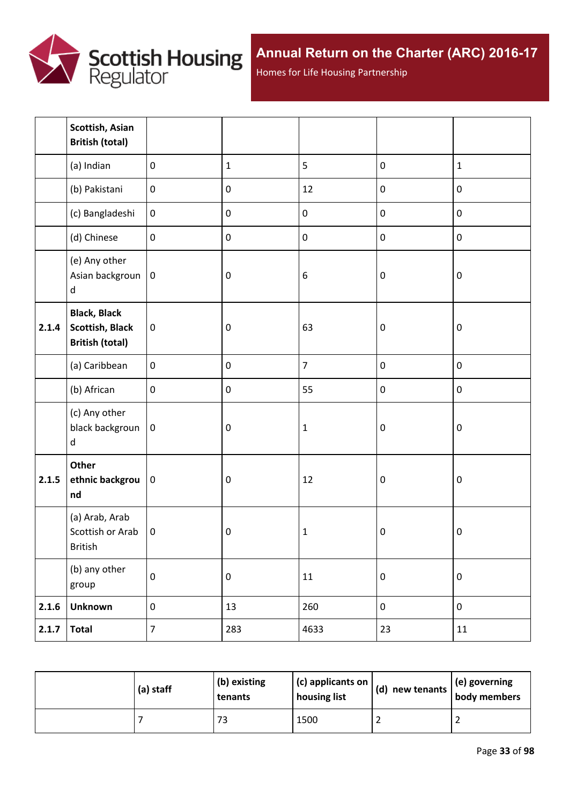

Homes for Life Housing Partnership

|       | Scottish, Asian<br><b>British (total)</b>                               |                  |              |                  |                  |             |
|-------|-------------------------------------------------------------------------|------------------|--------------|------------------|------------------|-------------|
|       | (a) Indian                                                              | $\mathbf 0$      | $\mathbf{1}$ | 5                | $\pmb{0}$        | $\mathbf 1$ |
|       | (b) Pakistani                                                           | $\boldsymbol{0}$ | $\pmb{0}$    | 12               | $\pmb{0}$        | $\pmb{0}$   |
|       | (c) Bangladeshi                                                         | $\boldsymbol{0}$ | $\pmb{0}$    | $\pmb{0}$        | $\pmb{0}$        | $\pmb{0}$   |
|       | (d) Chinese                                                             | $\mathbf 0$      | $\pmb{0}$    | $\mathbf 0$      | $\mathbf 0$      | $\pmb{0}$   |
|       | (e) Any other<br>Asian backgroun<br>$\sf d$                             | $\pmb{0}$        | $\pmb{0}$    | $\boldsymbol{6}$ | 0                | $\pmb{0}$   |
| 2.1.4 | <b>Black, Black</b><br><b>Scottish, Black</b><br><b>British (total)</b> | $\pmb{0}$        | $\pmb{0}$    | 63               | $\boldsymbol{0}$ | $\pmb{0}$   |
|       | (a) Caribbean                                                           | $\pmb{0}$        | $\pmb{0}$    | $\overline{7}$   | $\pmb{0}$        | $\pmb{0}$   |
|       | (b) African                                                             | $\pmb{0}$        | $\pmb{0}$    | 55               | $\pmb{0}$        | $\pmb{0}$   |
|       | (c) Any other<br>black backgroun<br>d                                   | $\mathbf 0$      | $\pmb{0}$    | $\mathbf 1$      | $\boldsymbol{0}$ | $\pmb{0}$   |
| 2.1.5 | Other<br>ethnic backgrou<br>nd                                          | $\pmb{0}$        | $\pmb{0}$    | 12               | $\boldsymbol{0}$ | $\pmb{0}$   |
|       | (a) Arab, Arab<br>Scottish or Arab<br>British                           | $\mathbf 0$      | $\pmb{0}$    | $\mathbf 1$      | $\pmb{0}$        | $\pmb{0}$   |
|       | (b) any other<br>group                                                  | $\pmb{0}$        | $\pmb{0}$    | $11\,$           | $\pmb{0}$        | $\pmb{0}$   |
| 2.1.6 | <b>Unknown</b>                                                          | $\boldsymbol{0}$ | 13           | 260              | $\pmb{0}$        | $\pmb{0}$   |
| 2.1.7 | <b>Total</b>                                                            | $\overline{7}$   | 283          | 4633             | 23               | 11          |

| (a) staff | (b) existing<br>tenants | $(c)$ applicants on<br>housing list | $\vert$ (d) new tenants $\vert$ . | $\vert$ (e) governing<br>body members |
|-----------|-------------------------|-------------------------------------|-----------------------------------|---------------------------------------|
|           | 73                      | 1500                                |                                   |                                       |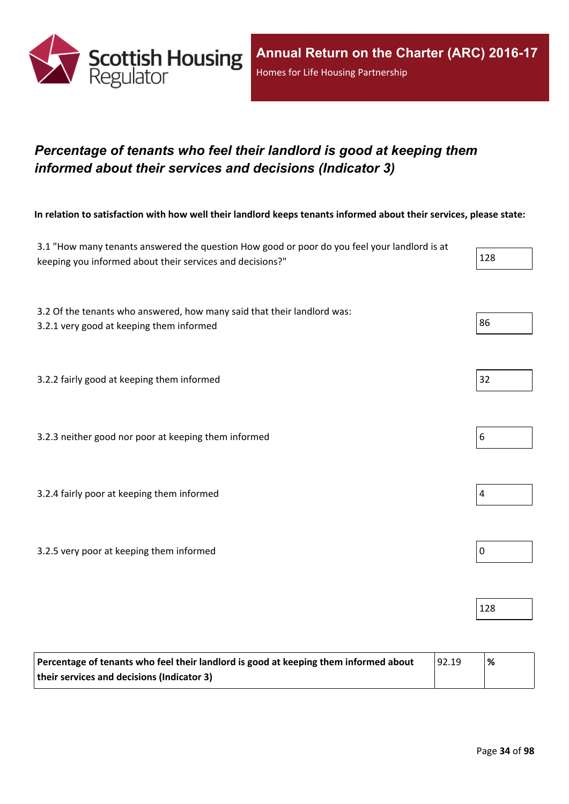

## <span id="page-33-0"></span>*Percentage of tenants who feel their landlord is good at keeping them informed about their services and decisions (Indicator 3)*

In relation to satisfaction with how well their landlord keeps tenants informed about their services, please state:

| 3.1 "How many tenants answered the question How good or poor do you feel your landlord is at<br>keeping you informed about their services and decisions?" | 128              |
|-----------------------------------------------------------------------------------------------------------------------------------------------------------|------------------|
| 3.2 Of the tenants who answered, how many said that their landlord was:<br>3.2.1 very good at keeping them informed                                       | 86               |
| 3.2.2 fairly good at keeping them informed                                                                                                                | 32               |
| 3.2.3 neither good nor poor at keeping them informed                                                                                                      | $\boldsymbol{6}$ |
| 3.2.4 fairly poor at keeping them informed                                                                                                                | 4                |
| 3.2.5 very poor at keeping them informed                                                                                                                  | $\mathbf 0$      |
|                                                                                                                                                           | 128              |

| Percentage of tenants who feel their landlord is good at keeping them informed about | 92.19 | '% |
|--------------------------------------------------------------------------------------|-------|----|
| their services and decisions (Indicator 3)                                           |       |    |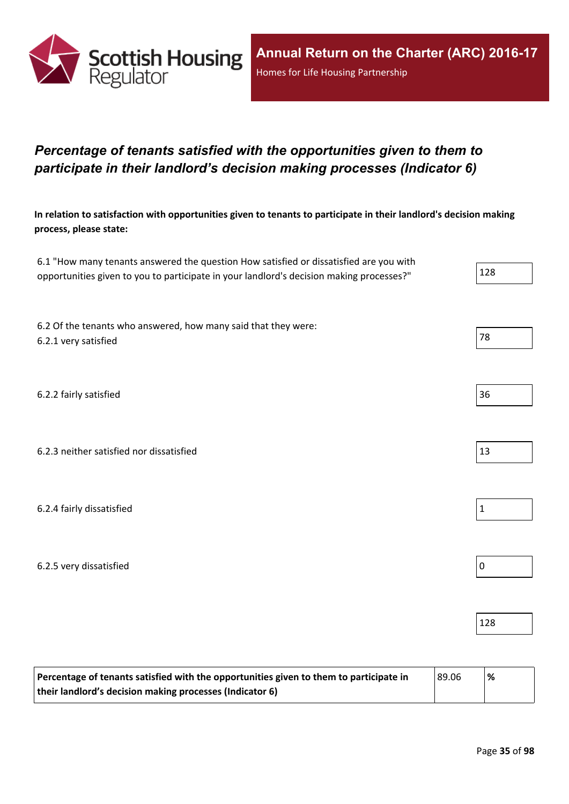

## <span id="page-34-0"></span>*Percentage of tenants satisfied with the opportunities given to them to participate in their landlord's decision making processes (Indicator 6)*

In relation to satisfaction with opportunities given to tenants to participate in their landlord's decision making **process, please state:**

| 6.1 "How many tenants answered the question How satisfied or dissatisfied are you with   |     |
|------------------------------------------------------------------------------------------|-----|
| opportunities given to you to participate in your landlord's decision making processes?" | 128 |

6.2 Of the tenants who answered, how many said that they were: 6.2.1 very satisfied and the set of the set of the set of the set of the set of the set of the set of the set of the set of the set of the set of the set of the set of the set of the set of the set of the set of the set of

6.2.2 fairly satisfied 36

6.2.3 neither satisfied nor dissatisfied 13

6.2.4 fairly dissatisfied  $\vert$  1

6.2.5 very dissatisfied  $\vert$  0

| Percentage of tenants satisfied with the opportunities given to them to participate in | 89.06 | $\frac{9}{6}$ |
|----------------------------------------------------------------------------------------|-------|---------------|
| their landlord's decision making processes (Indicator 6)                               |       |               |



128



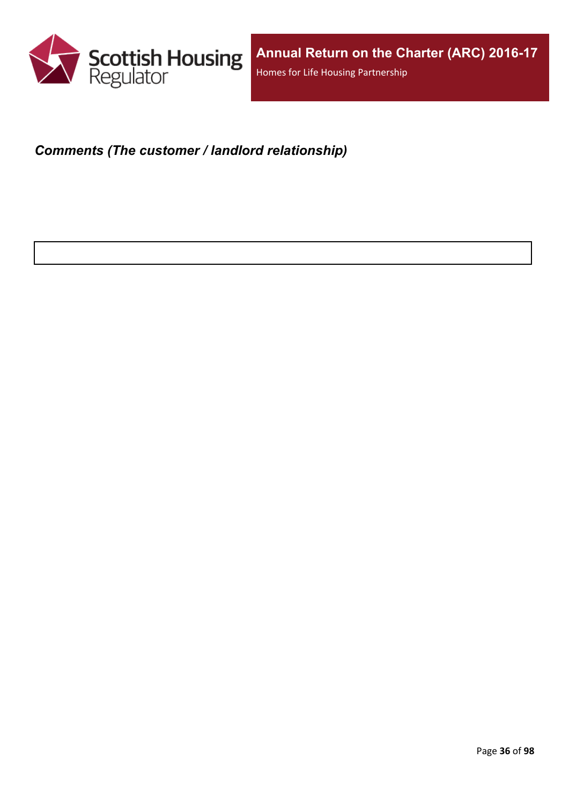

## <span id="page-35-0"></span>*Comments (The customer / landlord relationship)*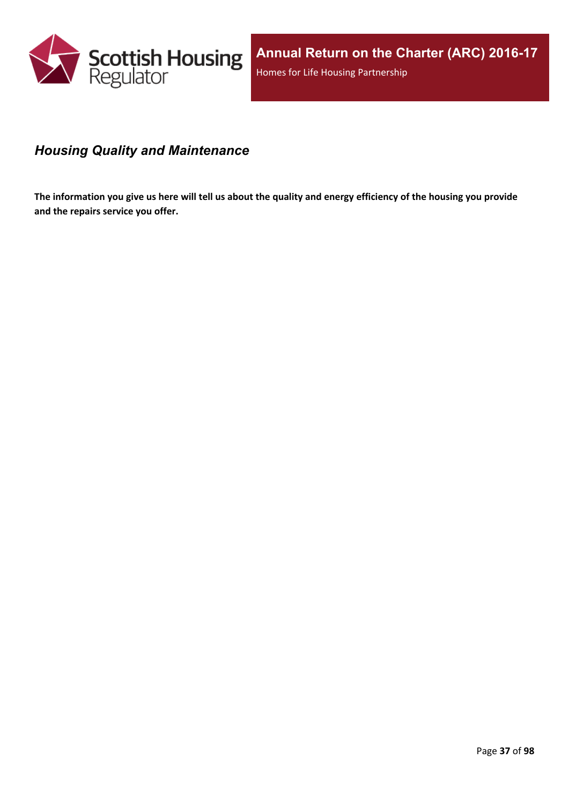

# *Housing Quality and Maintenance*

The information you give us here will tell us about the quality and energy efficiency of the housing you provide **and the repairs service you offer.**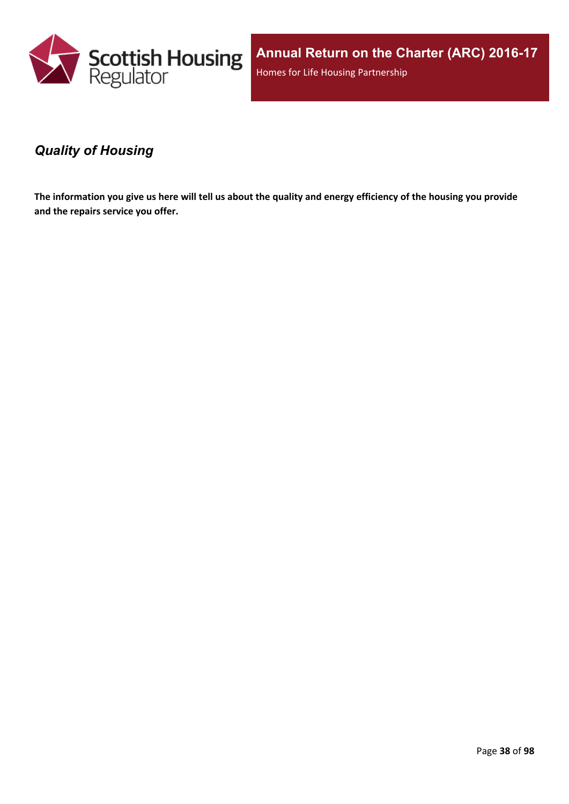

**Annual Return on the Charter (ARC) 2016-17** Homes for Life Housing Partnership

### *Quality of Housing*

The information you give us here will tell us about the quality and energy efficiency of the housing you provide **and the repairs service you offer.**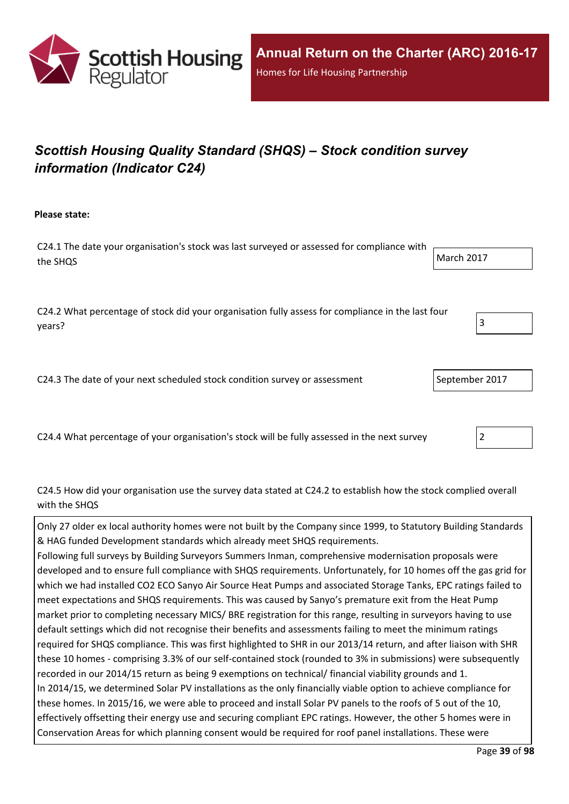# *Scottish Housing Quality Standard (SHQS) – Stock condition survey information (Indicator C24)*

**Please state:**

C24.1 The date your organisation's stock was last surveyed or assessed for compliance with the SHQS March 2017

C24.2 What percentage of stock did your organisation fully assess for compliance in the last four  $\gamma$ ears?  $\begin{vmatrix} 3 & 3 \end{vmatrix}$ 

C24.3 The date of your next scheduled stock condition survey or assessment September 2017

C24.4 What percentage of your organisation's stock will be fully assessed in the next survey  $\vert$  2

C24.5 How did your organisation use the survey data stated at C24.2 to establish how the stock complied overall with the SHQS

Only 27 older ex local authority homes were not built by the Company since 1999, to Statutory Building Standards & HAG funded Development standards which already meet SHQS requirements.

Following full surveys by Building Surveyors Summers Inman, comprehensive modernisation proposals were developed and to ensure full compliance with SHQS requirements. Unfortunately, for 10 homes off the gas grid for which we had installed CO2 ECO Sanyo Air Source Heat Pumps and associated Storage Tanks, EPC ratings failed to meet expectations and SHQS requirements. This was caused by Sanyo's premature exit from the Heat Pump market prior to completing necessary MICS/ BRE registration for this range, resulting in surveyors having to use default settings which did not recognise their benefits and assessments failing to meet the minimum ratings required for SHQS compliance. This was first highlighted to SHR in our 2013/14 return, and after liaison with SHR these 10 homes - comprising 3.3% of our self-contained stock (rounded to 3% in submissions) were subsequently recorded in our 2014/15 return as being 9 exemptions on technical/ financial viability grounds and 1. In 2014/15, we determined Solar PV installations as the only financially viable option to achieve compliance for these homes. In 2015/16, we were able to proceed and install Solar PV panels to the roofs of 5 out of the 10, effectively offsetting their energy use and securing compliant EPC ratings. However, the other 5 homes were in Conservation Areas for which planning consent would be required for roof panel installations. These were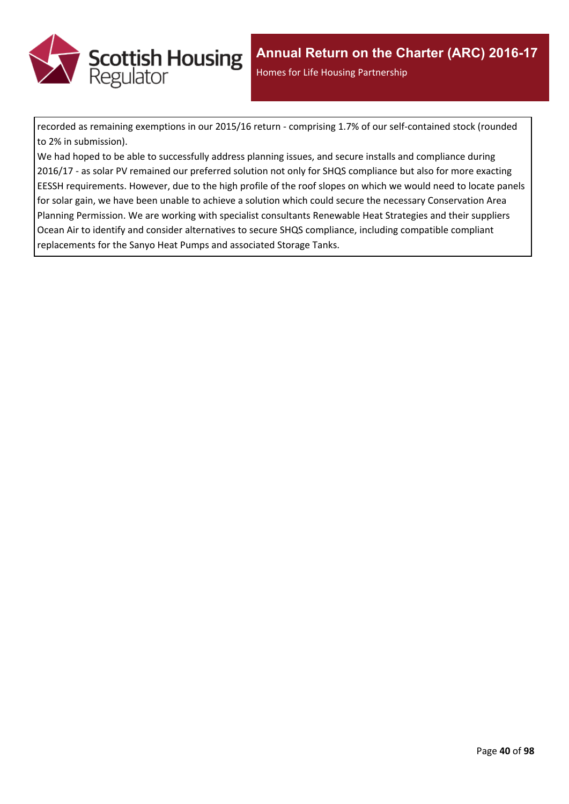

recorded as remaining exemptions in our 2015/16 return - comprising 1.7% of our self-contained stock (rounded to 2% in submission).

We had hoped to be able to successfully address planning issues, and secure installs and compliance during 2016/17 - as solar PV remained our preferred solution not only for SHQS compliance but also for more exacting EESSH requirements. However, due to the high profile of the roof slopes on which we would need to locate panels for solar gain, we have been unable to achieve a solution which could secure the necessary Conservation Area Planning Permission. We are working with specialist consultants Renewable Heat Strategies and their suppliers Ocean Air to identify and consider alternatives to secure SHQS compliance, including compatible compliant replacements for the Sanyo Heat Pumps and associated Storage Tanks.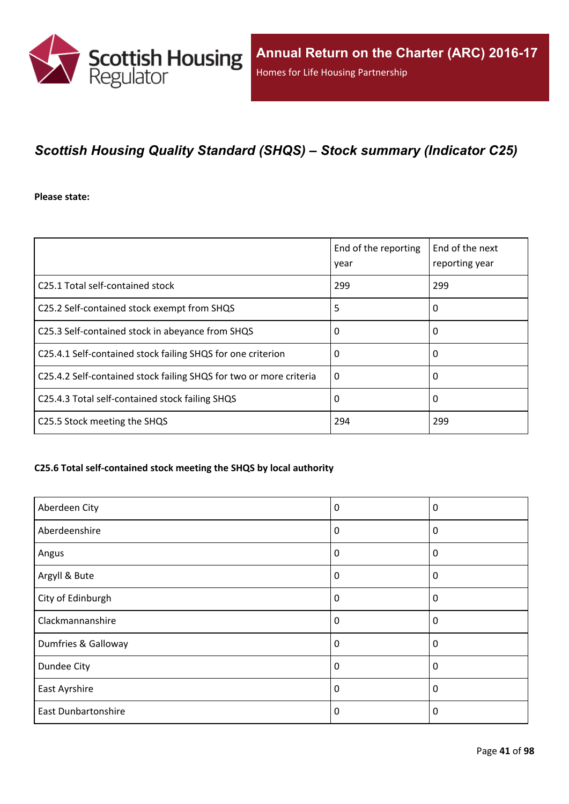

## *Scottish Housing Quality Standard (SHQS) – Stock summary (Indicator C25)*

#### **Please state:**

|                                                                    | End of the reporting<br>year | End of the next<br>reporting year |
|--------------------------------------------------------------------|------------------------------|-----------------------------------|
| C25.1 Total self-contained stock                                   | 299                          | 299                               |
| C25.2 Self-contained stock exempt from SHQS                        | 5                            | 0                                 |
| C25.3 Self-contained stock in abeyance from SHQS                   | 0                            | 0                                 |
| C25.4.1 Self-contained stock failing SHQS for one criterion        | 0                            | 0                                 |
| C25.4.2 Self-contained stock failing SHQS for two or more criteria | $\Omega$                     | 0                                 |
| C25.4.3 Total self-contained stock failing SHQS                    | 0                            | 0                                 |
| C25.5 Stock meeting the SHQS                                       | 294                          | 299                               |

### **C25.6 Total self-contained stock meeting the SHQS by local authority**

| Aberdeen City              | 0        | 0           |
|----------------------------|----------|-------------|
| Aberdeenshire              | 0        | $\mathbf 0$ |
| Angus                      | 0        | $\mathbf 0$ |
| Argyll & Bute              | 0        | 0           |
| City of Edinburgh          | 0        | $\mathbf 0$ |
| Clackmannanshire           | 0        | 0           |
| Dumfries & Galloway        | $\Omega$ | $\Omega$    |
| Dundee City                | $\Omega$ | 0           |
| East Ayrshire              | 0        | 0           |
| <b>East Dunbartonshire</b> | $\Omega$ | 0           |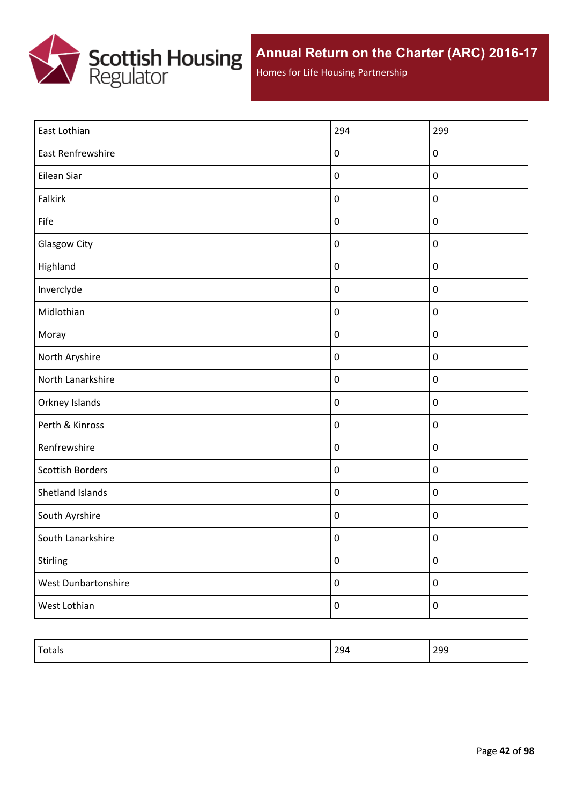

Homes for Life Housing Partnership

| East Lothian            | 294              | 299              |
|-------------------------|------------------|------------------|
| East Renfrewshire       | $\pmb{0}$        | $\pmb{0}$        |
| Eilean Siar             | $\pmb{0}$        | $\pmb{0}$        |
| Falkirk                 | $\boldsymbol{0}$ | $\pmb{0}$        |
| Fife                    | $\pmb{0}$        | $\pmb{0}$        |
| Glasgow City            | $\pmb{0}$        | $\pmb{0}$        |
| Highland                | $\boldsymbol{0}$ | $\pmb{0}$        |
| Inverclyde              | $\pmb{0}$        | $\mathbf 0$      |
| Midlothian              | $\pmb{0}$        | $\mathbf 0$      |
| Moray                   | $\pmb{0}$        | $\pmb{0}$        |
| North Aryshire          | $\pmb{0}$        | $\mathbf 0$      |
| North Lanarkshire       | $\pmb{0}$        | $\mathbf 0$      |
| Orkney Islands          | $\pmb{0}$        | $\mathbf 0$      |
| Perth & Kinross         | $\pmb{0}$        | $\mathbf 0$      |
| Renfrewshire            | $\pmb{0}$        | $\mathbf 0$      |
| <b>Scottish Borders</b> | $\pmb{0}$        | $\mathbf 0$      |
| Shetland Islands        | $\pmb{0}$        | $\mathbf 0$      |
| South Ayrshire          | $\pmb{0}$        | $\mathbf 0$      |
| South Lanarkshire       | $\pmb{0}$        | $\boldsymbol{0}$ |
| Stirling                | $\pmb{0}$        | $\pmb{0}$        |
| West Dunbartonshire     | $\boldsymbol{0}$ | $\pmb{0}$        |
| West Lothian            | $\boldsymbol{0}$ | $\pmb{0}$        |

| -<br>-912<br>$     -$ | ∽<br>$-27$ | <b>oc</b><br>ررے |
|-----------------------|------------|------------------|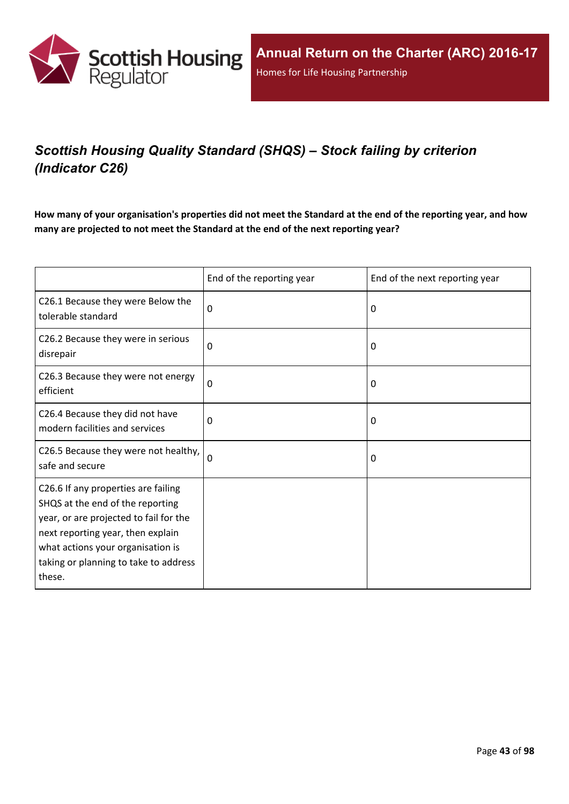

# *Scottish Housing Quality Standard (SHQS) – Stock failing by criterion (Indicator C26)*

How many of your organisation's properties did not meet the Standard at the end of the reporting year, and how **many are projected to not meet the Standard at the end of the next reporting year?**

|                                                                                                                                                                                                                                                | End of the reporting year | End of the next reporting year |
|------------------------------------------------------------------------------------------------------------------------------------------------------------------------------------------------------------------------------------------------|---------------------------|--------------------------------|
| C26.1 Because they were Below the<br>tolerable standard                                                                                                                                                                                        | 0                         | 0                              |
| C26.2 Because they were in serious<br>disrepair                                                                                                                                                                                                | 0                         | 0                              |
| C26.3 Because they were not energy<br>efficient                                                                                                                                                                                                | $\mathbf 0$               | 0                              |
| C26.4 Because they did not have<br>modern facilities and services                                                                                                                                                                              | $\mathbf 0$               | 0                              |
| C26.5 Because they were not healthy,<br>safe and secure                                                                                                                                                                                        | $\Omega$                  | 0                              |
| C26.6 If any properties are failing<br>SHQS at the end of the reporting<br>year, or are projected to fail for the<br>next reporting year, then explain<br>what actions your organisation is<br>taking or planning to take to address<br>these. |                           |                                |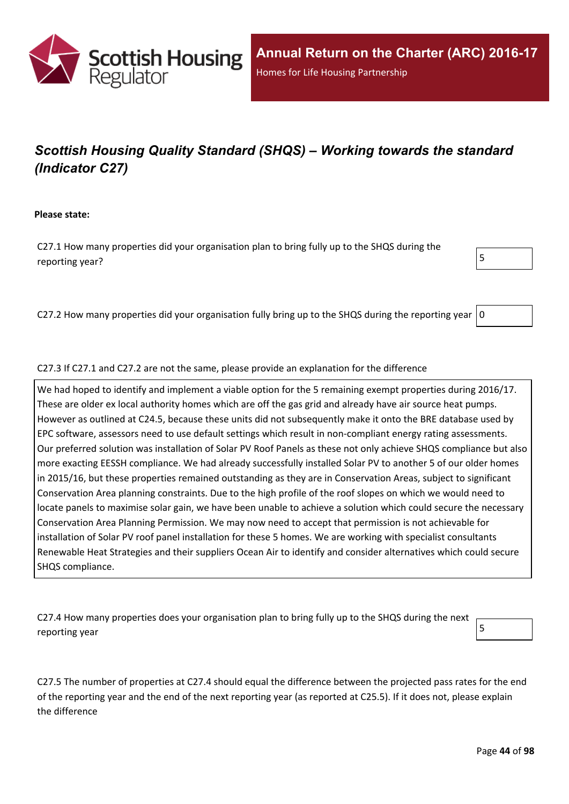

# *Scottish Housing Quality Standard (SHQS) – Working towards the standard (Indicator C27)*

#### **Please state:**

C27.1 How many properties did your organisation plan to bring fully up to the SHQS during the reporting year?  $\vert$ 



C27.2 How many properties did your organisation fully bring up to the SHQS during the reporting year  $\vert$  0

#### C27.3 If C27.1 and C27.2 are not the same, please provide an explanation for the difference

We had hoped to identify and implement a viable option for the 5 remaining exempt properties during 2016/17. These are older ex local authority homes which are off the gas grid and already have air source heat pumps. However as outlined at C24.5, because these units did not subsequently make it onto the BRE database used by EPC software, assessors need to use default settings which result in non-compliant energy rating assessments. Our preferred solution was installation of Solar PV Roof Panels as these not only achieve SHQS compliance but also more exacting EESSH compliance. We had already successfully installed Solar PV to another 5 of our older homes in 2015/16, but these properties remained outstanding as they are in Conservation Areas, subject to significant Conservation Area planning constraints. Due to the high profile of the roof slopes on which we would need to locate panels to maximise solar gain, we have been unable to achieve a solution which could secure the necessary Conservation Area Planning Permission. We may now need to accept that permission is not achievable for installation of Solar PV roof panel installation for these 5 homes. We are working with specialist consultants Renewable Heat Strategies and their suppliers Ocean Air to identify and consider alternatives which could secure SHQS compliance.

C27.4 How many properties does your organisation plan to bring fully up to the SHQS during the next reporting year  $\vert$  5

C27.5 The number of properties at C27.4 should equal the difference between the projected pass rates for the end of the reporting year and the end of the next reporting year (as reported at C25.5). If it does not, please explain the difference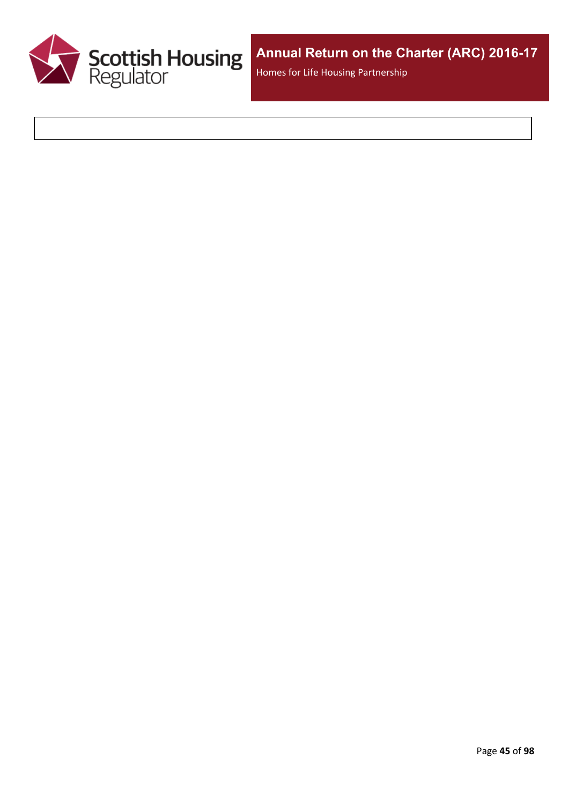

**Annual Return on the Charter (ARC) 2016-17**

Homes for Life Housing Partnership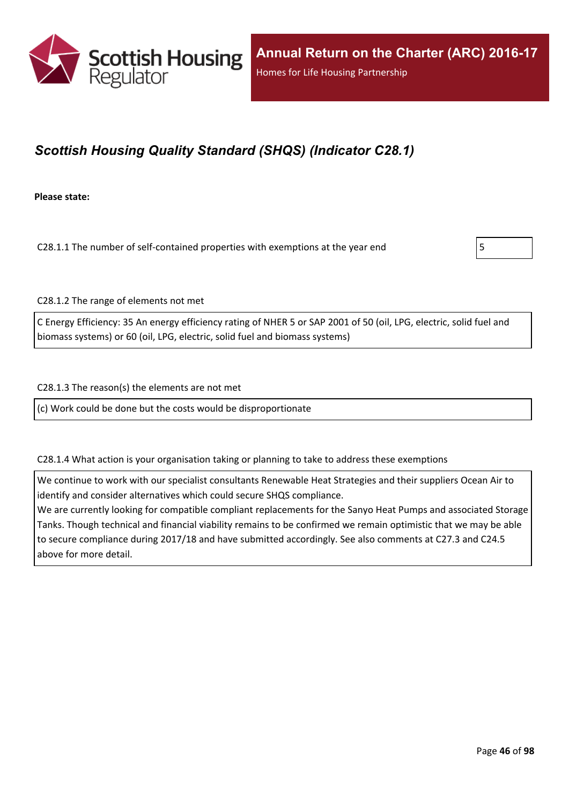

## *Scottish Housing Quality Standard (SHQS) (Indicator C28.1)*

**Please state:**

C28.1.1 The number of self-contained properties with exemptions at the year end  $\vert$  5



C28.1.2 The range of elements not met

C Energy Efficiency: 35 An energy efficiency rating of NHER 5 or SAP 2001 of 50 (oil, LPG, electric, solid fuel and biomass systems) or 60 (oil, LPG, electric, solid fuel and biomass systems)

C28.1.3 The reason(s) the elements are not met

(c) Work could be done but the costs would be disproportionate

### C28.1.4 What action is your organisation taking or planning to take to address these exemptions

We continue to work with our specialist consultants Renewable Heat Strategies and their suppliers Ocean Air to identify and consider alternatives which could secure SHQS compliance.

We are currently looking for compatible compliant replacements for the Sanyo Heat Pumps and associated Storage Tanks. Though technical and financial viability remains to be confirmed we remain optimistic that we may be able to secure compliance during 2017/18 and have submitted accordingly. See also comments at C27.3 and C24.5 above for more detail.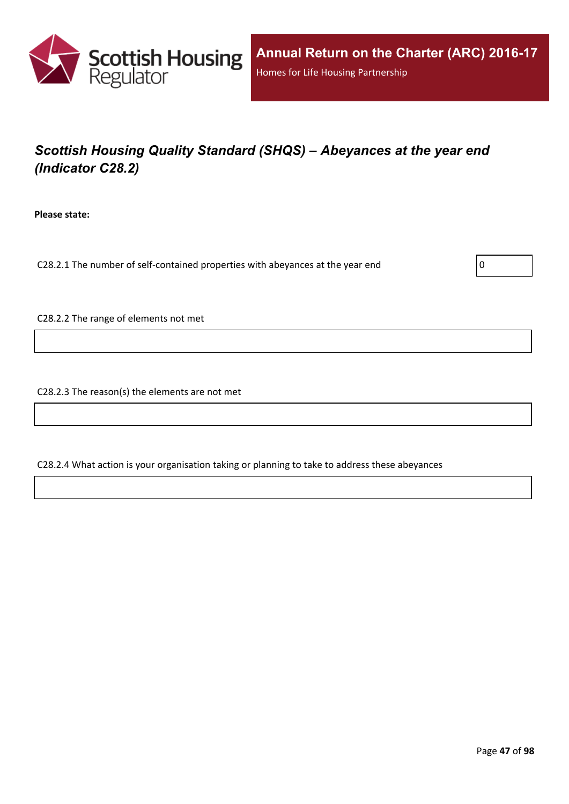

# *Scottish Housing Quality Standard (SHQS) – Abeyances at the year end (Indicator C28.2)*

**Please state:**

C28.2.1 The number of self-contained properties with abeyances at the year end  $\vert$  0

C28.2.2 The range of elements not met

C28.2.3 The reason(s) the elements are not met

C28.2.4 What action is your organisation taking or planning to take to address these abeyances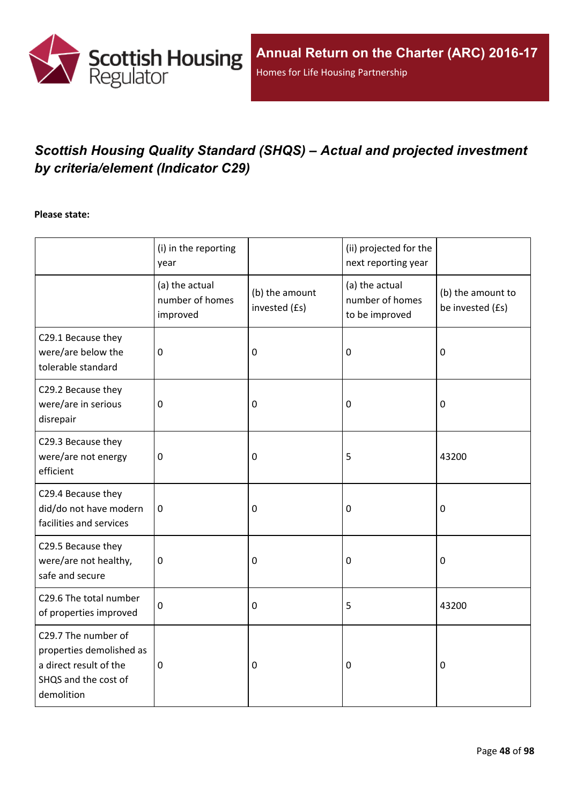

# *Scottish Housing Quality Standard (SHQS) – Actual and projected investment by criteria/element (Indicator C29)*

#### **Please state:**

|                                                                                                                 | (i) in the reporting<br>year                  |                                 | (ii) projected for the<br>next reporting year       |                                       |
|-----------------------------------------------------------------------------------------------------------------|-----------------------------------------------|---------------------------------|-----------------------------------------------------|---------------------------------------|
|                                                                                                                 | (a) the actual<br>number of homes<br>improved | (b) the amount<br>invested (£s) | (a) the actual<br>number of homes<br>to be improved | (b) the amount to<br>be invested (£s) |
| C29.1 Because they<br>were/are below the<br>tolerable standard                                                  | $\mathbf 0$                                   | 0                               | 0                                                   | $\mathbf 0$                           |
| C29.2 Because they<br>were/are in serious<br>disrepair                                                          | $\mathbf 0$                                   | 0                               | 0                                                   | $\mathbf 0$                           |
| C29.3 Because they<br>were/are not energy<br>efficient                                                          | $\mathbf 0$                                   | 0                               | 5                                                   | 43200                                 |
| C29.4 Because they<br>did/do not have modern<br>facilities and services                                         | $\mathbf 0$                                   | 0                               | 0                                                   | 0                                     |
| C29.5 Because they<br>were/are not healthy,<br>safe and secure                                                  | $\mathbf 0$                                   | 0                               | 0                                                   | $\mathbf 0$                           |
| C29.6 The total number<br>of properties improved                                                                | $\mathbf 0$                                   | 0                               | 5                                                   | 43200                                 |
| C29.7 The number of<br>properties demolished as<br>a direct result of the<br>SHQS and the cost of<br>demolition | $\mathbf 0$                                   | 0                               | 0                                                   | 0                                     |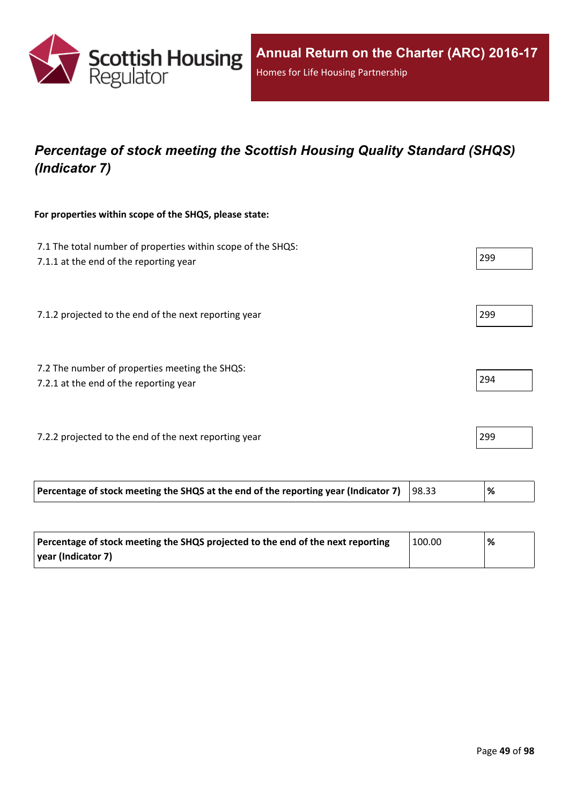

## *Percentage of stock meeting the Scottish Housing Quality Standard (SHQS) (Indicator 7)*

### **For properties within scope of the SHQS, please state:**

| 7.1 The total number of properties within scope of the SHQS:<br>7.1.1 at the end of the reporting year |       | 299 |
|--------------------------------------------------------------------------------------------------------|-------|-----|
| 7.1.2 projected to the end of the next reporting year                                                  |       | 299 |
| 7.2 The number of properties meeting the SHQS:<br>7.2.1 at the end of the reporting year               |       | 294 |
| 7.2.2 projected to the end of the next reporting year                                                  |       | 299 |
| Percentage of stock meeting the SHQS at the end of the reporting year (Indicator 7)                    | 98.33 | %   |

| Percentage of stock meeting the SHQS projected to the end of the next reporting | 100.00 | ℅ |
|---------------------------------------------------------------------------------|--------|---|
| vear (Indicator 7)                                                              |        |   |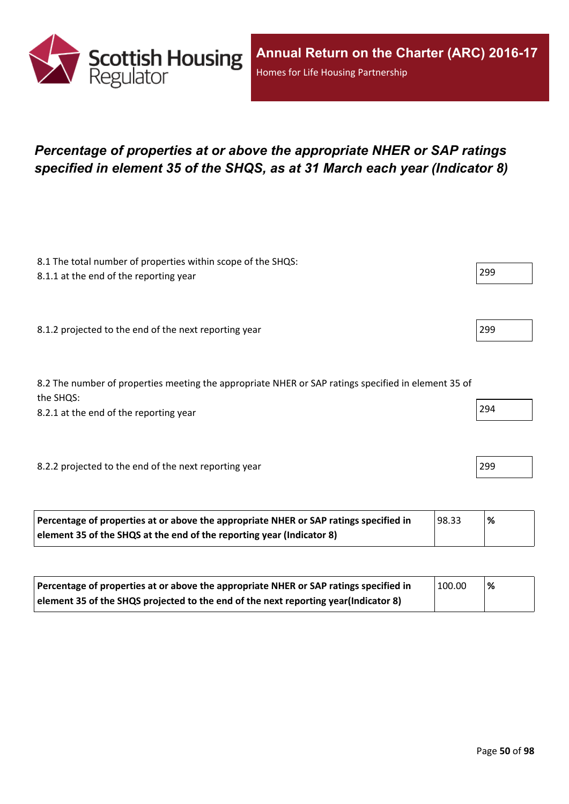

## *Percentage of properties at or above the appropriate NHER or SAP ratings specified in element 35 of the SHQS, as at 31 March each year (Indicator 8)*

| 8.1 The total number of properties within scope of the SHQS:<br>8.1.1 at the end of the reporting year | 299 |
|--------------------------------------------------------------------------------------------------------|-----|
|                                                                                                        |     |
| 8.1.2 projected to the end of the next reporting year                                                  | 299 |
|                                                                                                        |     |
| 8.2 The number of properties meeting the appropriate NHER or SAP ratings specified in element 35 of    |     |
| the SHQS:<br>8.2.1 at the end of the reporting year                                                    | 294 |
|                                                                                                        |     |
| 8.2.2 projected to the end of the next reporting year                                                  | 299 |
|                                                                                                        |     |

| Percentage of properties at or above the appropriate NHER or SAP ratings specified in | 98.33 | '% |
|---------------------------------------------------------------------------------------|-------|----|
| element 35 of the SHQS at the end of the reporting year (Indicator 8)                 |       |    |

| Percentage of properties at or above the appropriate NHER or SAP ratings specified in | 100.00 | % |
|---------------------------------------------------------------------------------------|--------|---|
| element 35 of the SHQS projected to the end of the next reporting year(Indicator 8)   |        |   |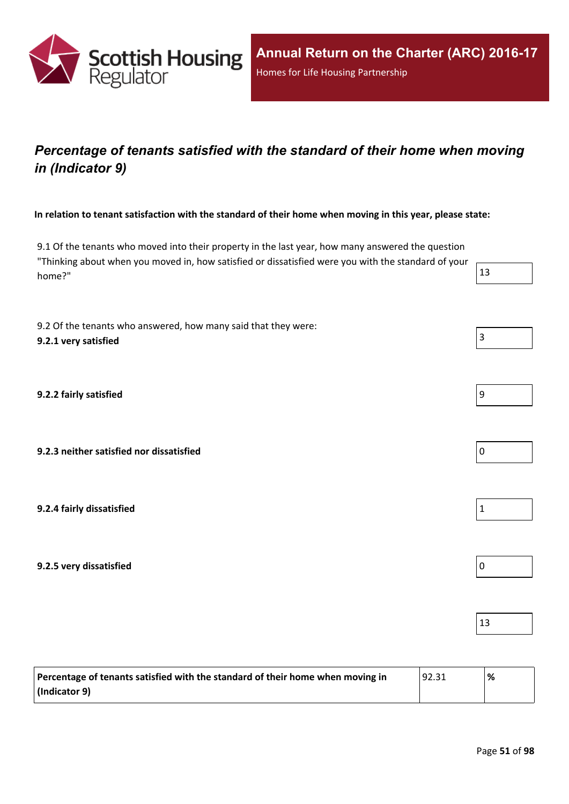

## *Percentage of tenants satisfied with the standard of their home when moving in (Indicator 9)*

In relation to tenant satisfaction with the standard of their home when moving in this year, please state:

9.1 Of the tenants who moved into their property in the last year, how many answered the question "Thinking about when you moved in, how satisfied or dissatisfied were you with the standard of your home?"  $\vert$  13

9.2 Of the tenants who answered, how many said that they were: **9.2.1 very satisfied** 3

**9.2.2 fairly satisfied** 9

**9.2.3 neither satisfied nor dissatisfied** 0

**9.2.4 fairly dissatisfied** 1

**9.2.5 very dissatisfied** 0

| Percentage of tenants satisfied with the standard of their home when moving in | 192.31 | % |
|--------------------------------------------------------------------------------|--------|---|
| $ $ (Indicator 9)                                                              |        |   |

13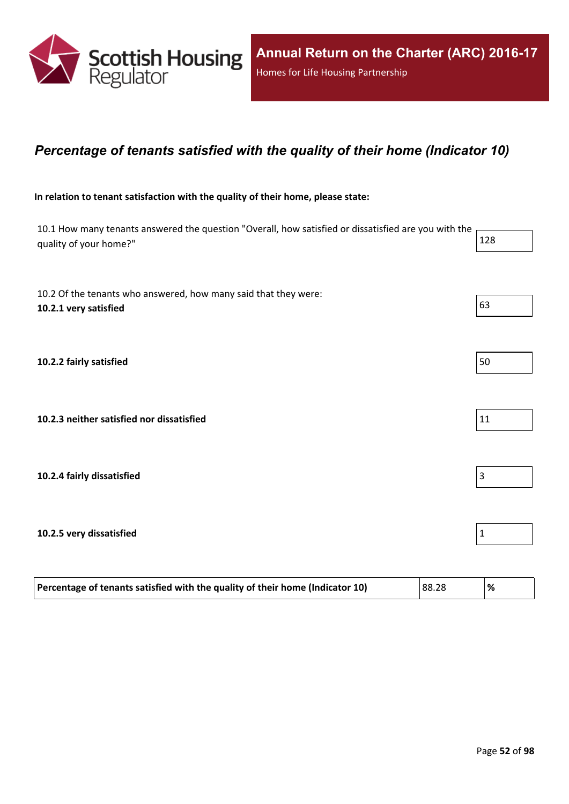

### *Percentage of tenants satisfied with the quality of their home (Indicator 10)*

#### **In relation to tenant satisfaction with the quality of their home, please state:**

| 10.1 How many tenants answered the question "Overall, how satisfied or dissatisfied are you with the<br>quality of your home?" | 128          |
|--------------------------------------------------------------------------------------------------------------------------------|--------------|
| 10.2 Of the tenants who answered, how many said that they were:<br>10.2.1 very satisfied                                       | 63           |
| 10.2.2 fairly satisfied                                                                                                        | 50           |
| 10.2.3 neither satisfied nor dissatisfied                                                                                      | 11           |
| 10.2.4 fairly dissatisfied                                                                                                     | 3            |
| 10.2.5 very dissatisfied                                                                                                       | $\mathbf{1}$ |
|                                                                                                                                |              |

**Percentage of tenants satisfied with the quality of their home (Indicator 10)** 88.28 **%**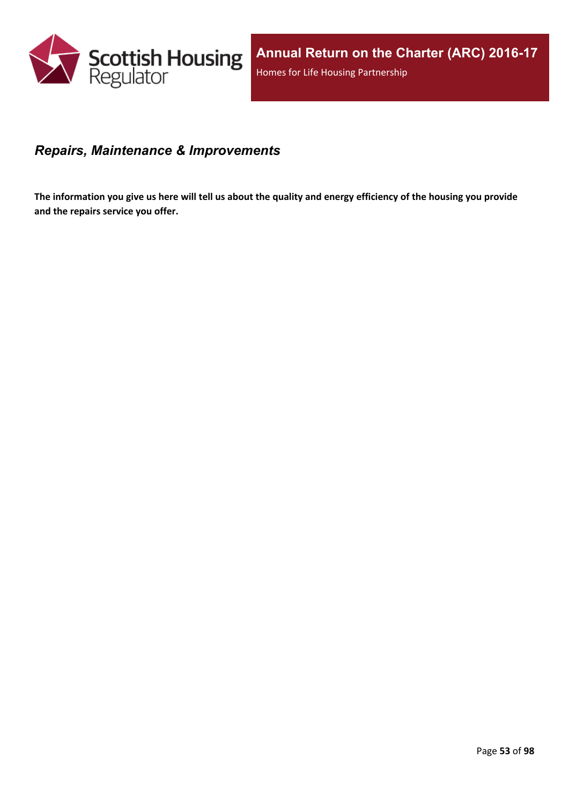

### *Repairs, Maintenance & Improvements*

The information you give us here will tell us about the quality and energy efficiency of the housing you provide **and the repairs service you offer.**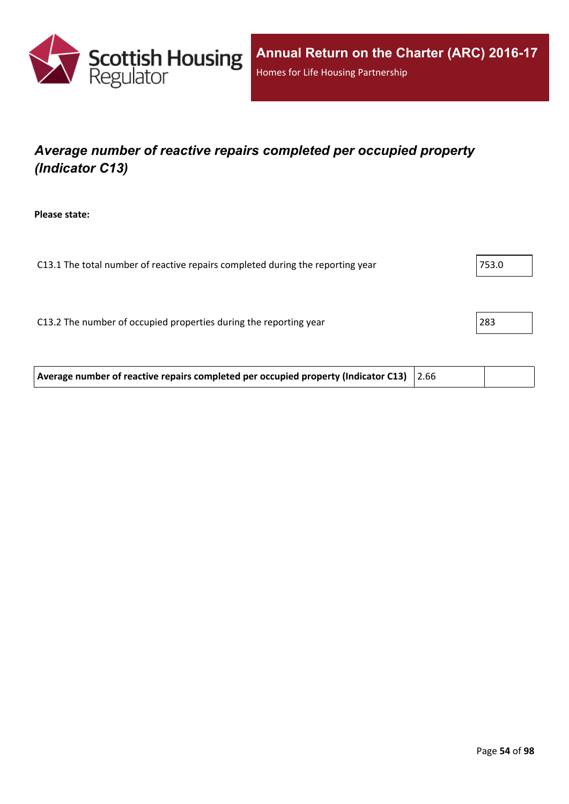

## *Average number of reactive repairs completed per occupied property (Indicator C13)*

**Please state:**

| C13.1 The total number of reactive repairs completed during the reporting year |     |  |  |
|--------------------------------------------------------------------------------|-----|--|--|
|                                                                                |     |  |  |
|                                                                                |     |  |  |
| C13.2 The number of occupied properties during the reporting year              | 283 |  |  |
|                                                                                |     |  |  |

**Average number of reactive repairs completed per occupied property (Indicator C13)** 2.66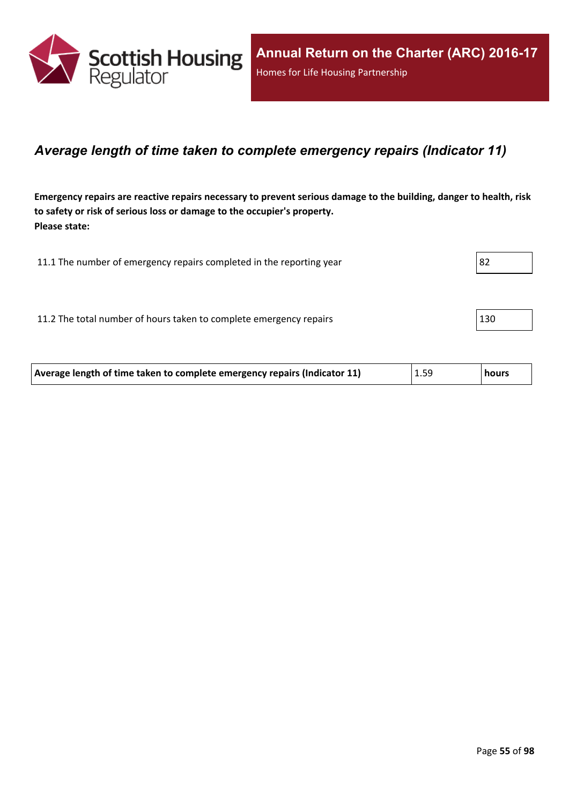

### *Average length of time taken to complete emergency repairs (Indicator 11)*

Emergency repairs are reactive repairs necessary to prevent serious damage to the building, danger to health, risk **to safety or risk of serious loss or damage to the occupier's property. Please state:**

| 11.1 The number of emergency repairs completed in the reporting year | 82  |
|----------------------------------------------------------------------|-----|
|                                                                      |     |
| 11.2 The total number of hours taken to complete emergency repairs   | 130 |
|                                                                      |     |

| Average length of time taken to complete emergency repairs (Indicator 11) | 1.59 | <b>hours</b> |
|---------------------------------------------------------------------------|------|--------------|
|---------------------------------------------------------------------------|------|--------------|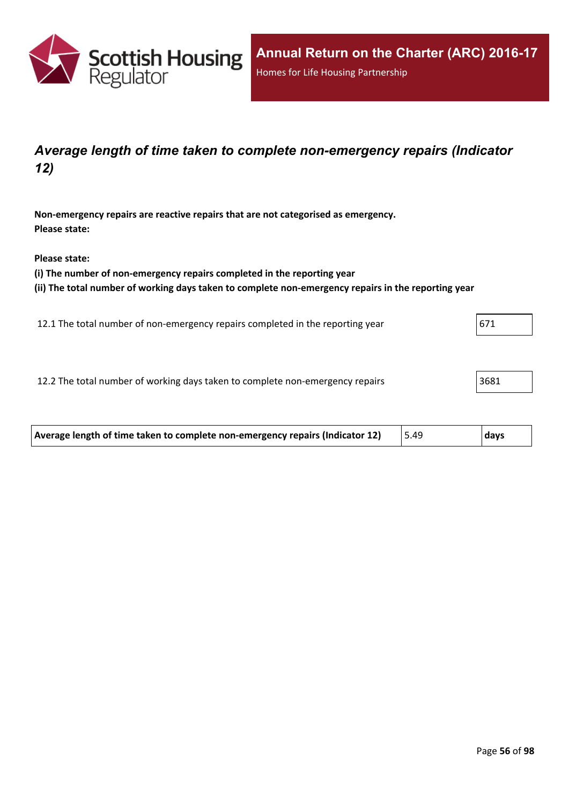

## *Average length of time taken to complete non-emergency repairs (Indicator 12)*

**Non-emergency repairs are reactive repairs that are not categorised as emergency. Please state:**

**Please state:**

**(i) The number of non-emergency repairs completed in the reporting year**

**(ii) The total number of working days taken to complete non-emergency repairs in the reporting year**

12.1 The total number of non-emergency repairs completed in the reporting year 671

12.2 The total number of working days taken to complete non-emergency repairs 3681

| Average length of time taken to complete non-emergency repairs (Indicator 12) | 15.49 | days |
|-------------------------------------------------------------------------------|-------|------|
|                                                                               |       |      |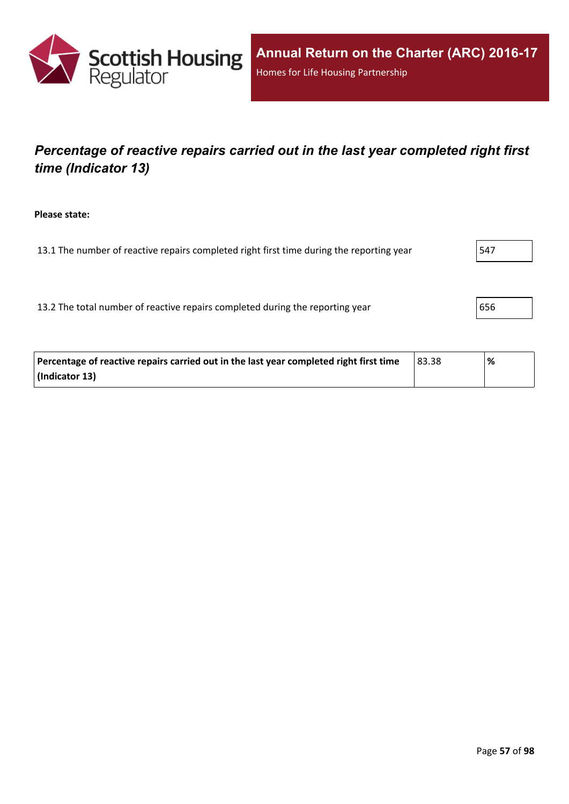

## *Percentage of reactive repairs carried out in the last year completed right first time (Indicator 13)*

**Please state:**

13.1 The number of reactive repairs completed right first time during the reporting year  $\vert$  547

13.2 The total number of reactive repairs completed during the reporting year  $\vert$  656

| Percentage of reactive repairs carried out in the last year completed right first time | 83.38 | % |
|----------------------------------------------------------------------------------------|-------|---|
| (Indicator 13)                                                                         |       |   |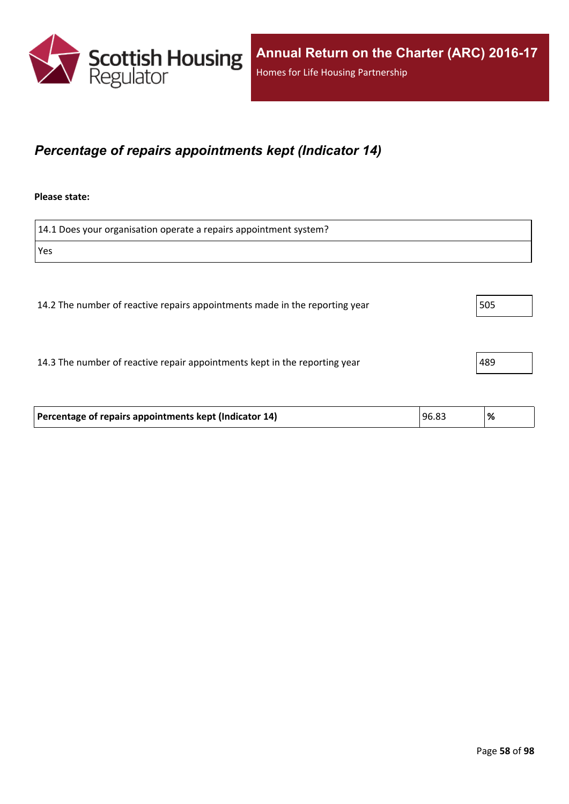

### *Percentage of repairs appointments kept (Indicator 14)*

#### **Please state:**

14.1 Does your organisation operate a repairs appointment system? Yes 14.2 The number of reactive repairs appointments made in the reporting year  $\vert$  505

14.3 The number of reactive repair appointments kept in the reporting year  $|489\rangle$ 

| Percentage of repairs appointments kept (Indicator 14) | 96.83 |  |
|--------------------------------------------------------|-------|--|
|                                                        |       |  |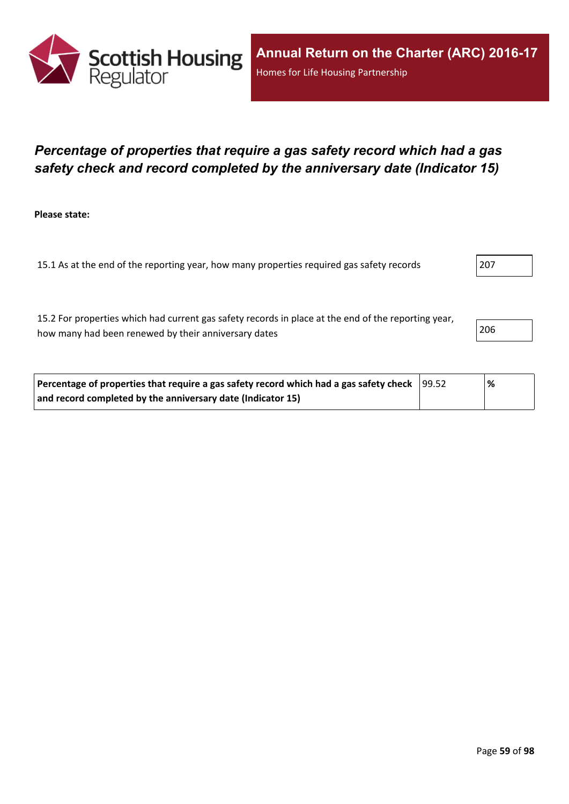

### *Percentage of properties that require a gas safety record which had a gas safety check and record completed by the anniversary date (Indicator 15)*

**Please state:**

15.1 As at the end of the reporting year, how many properties required gas safety records 207

15.2 For properties which had current gas safety records in place at the end of the reporting year, how many had been renewed by their anniversary dates 206

| Percentage of properties that require a gas safety record which had a gas safety check  99.52 | ℅ |
|-----------------------------------------------------------------------------------------------|---|
| and record completed by the anniversary date (Indicator 15)                                   |   |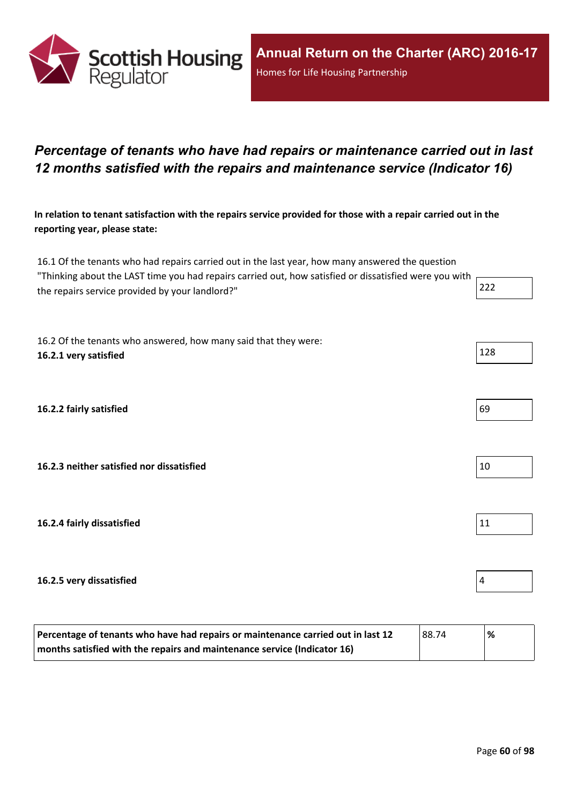

## *Percentage of tenants who have had repairs or maintenance carried out in last 12 months satisfied with the repairs and maintenance service (Indicator 16)*

In relation to tenant satisfaction with the repairs service provided for those with a repair carried out in the **reporting year, please state:**

16.1 Of the tenants who had repairs carried out in the last year, how many answered the question "Thinking about the LAST time you had repairs carried out, how satisfied or dissatisfied were you with the repairs service provided by your landlord?" 222

16.2 Of the tenants who answered, how many said that they were: **16.2.1 very satisfied** 128

**16.2.2 fairly satisfied** 69

**16.2.3 neither satisfied nor dissatisfied** 10

**16.2.4 fairly dissatisfied** 11

#### **16.2.5 very dissatisfied** 4

| Percentage of tenants who have had repairs or maintenance carried out in last 12<br> 88.74 |  | % |
|--------------------------------------------------------------------------------------------|--|---|
| months satisfied with the repairs and maintenance service (Indicator 16)                   |  |   |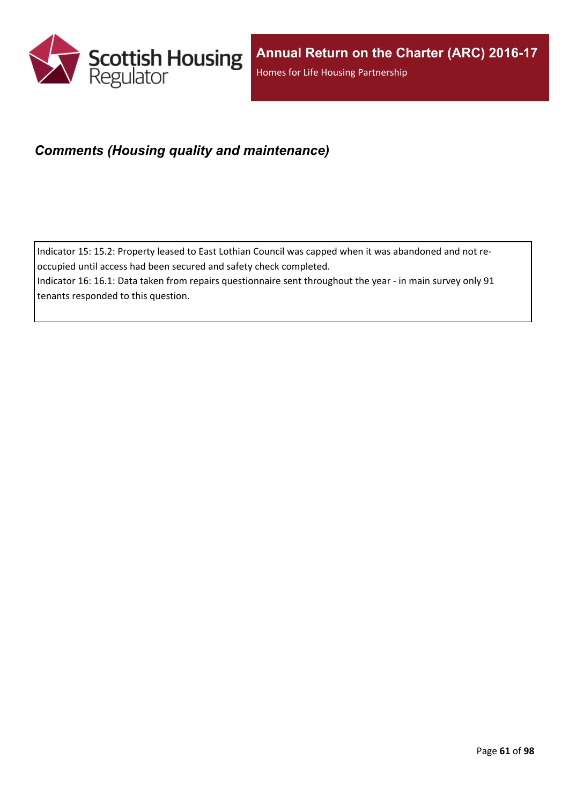

### *Comments (Housing quality and maintenance)*

Indicator 15: 15.2: Property leased to East Lothian Council was capped when it was abandoned and not reoccupied until access had been secured and safety check completed. Indicator 16: 16.1: Data taken from repairs questionnaire sent throughout the year - in main survey only 91 tenants responded to this question.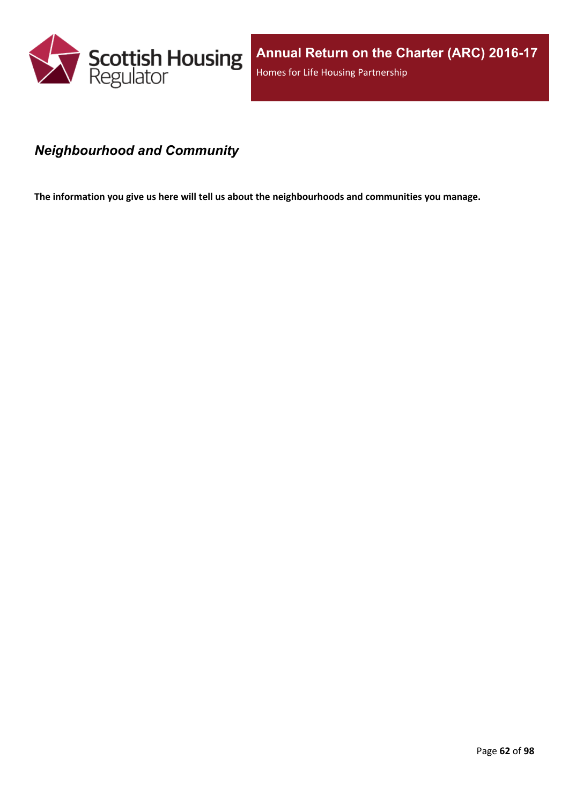

### *Neighbourhood and Community*

**The information you give us here will tell us about the neighbourhoods and communities you manage.**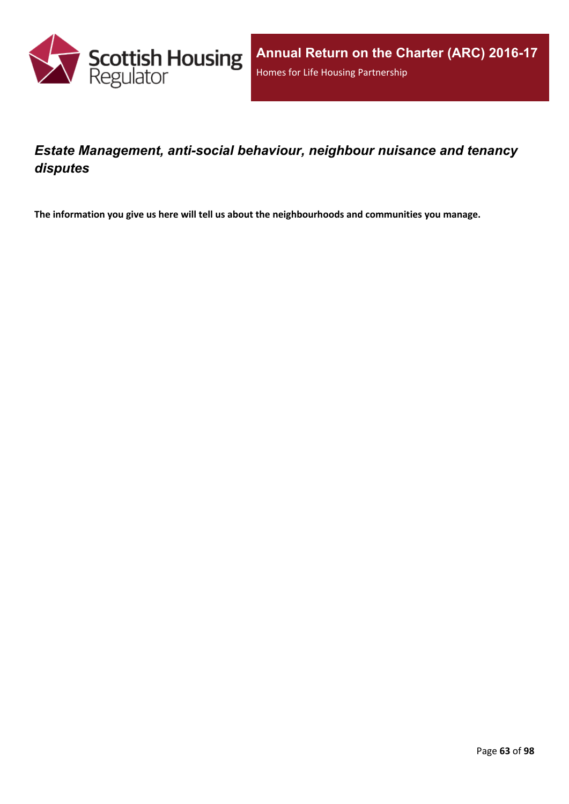

## *Estate Management, anti-social behaviour, neighbour nuisance and tenancy disputes*

**The information you give us here will tell us about the neighbourhoods and communities you manage.**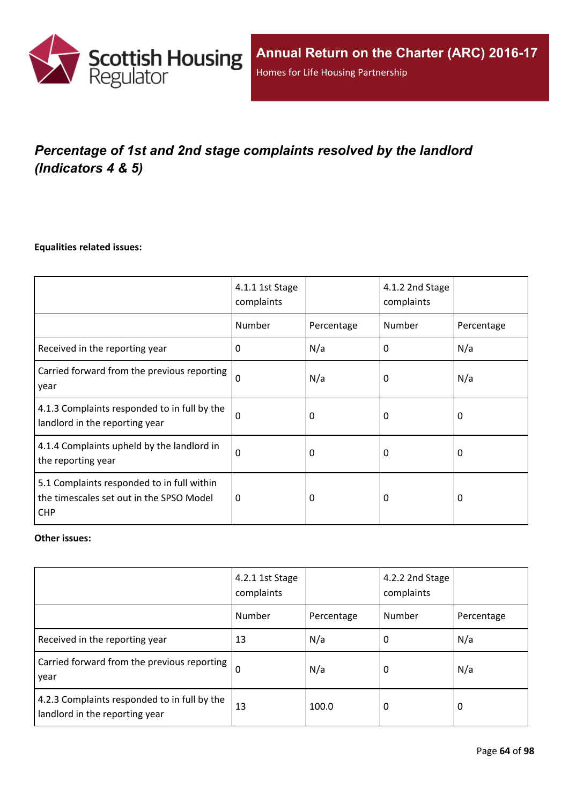

# *Percentage of 1st and 2nd stage complaints resolved by the landlord (Indicators 4 & 5)*

#### **Equalities related issues:**

|                                                                                                      | 4.1.1 1st Stage<br>complaints |            | 4.1.2 2nd Stage<br>complaints |            |
|------------------------------------------------------------------------------------------------------|-------------------------------|------------|-------------------------------|------------|
|                                                                                                      | Number                        | Percentage | Number                        | Percentage |
| Received in the reporting year                                                                       | $\Omega$                      | N/a        | 0                             | N/a        |
| Carried forward from the previous reporting<br>year                                                  | $\Omega$                      | N/a        | 0                             | N/a        |
| 4.1.3 Complaints responded to in full by the<br>landlord in the reporting year                       | $\Omega$                      | 0          | 0                             | 0          |
| 4.1.4 Complaints upheld by the landlord in<br>the reporting year                                     | 0                             | 0          | 0                             | 0          |
| 5.1 Complaints responded to in full within<br>the timescales set out in the SPSO Model<br><b>CHP</b> | 0                             | 0          | 0                             | $\Omega$   |

### **Other issues:**

|                                                                                | 4.2.1 1st Stage<br>complaints |            | 4.2.2 2nd Stage<br>complaints |            |
|--------------------------------------------------------------------------------|-------------------------------|------------|-------------------------------|------------|
|                                                                                | Number                        | Percentage | Number                        | Percentage |
| Received in the reporting year                                                 | 13                            | N/a        | O                             | N/a        |
| Carried forward from the previous reporting  <br>year                          | $\Omega$                      | N/a        | 0                             | N/a        |
| 4.2.3 Complaints responded to in full by the<br>landlord in the reporting year | 13                            | 100.0      | 0                             | 0          |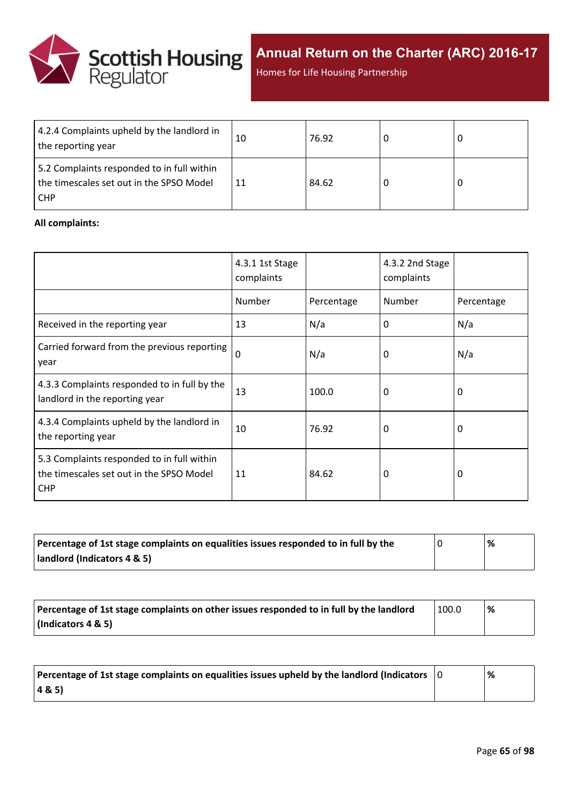

**Annual Return on the Charter (ARC) 2016-17**

Homes for Life Housing Partnership

| 4.2.4 Complaints upheld by the landlord in<br>the reporting year                                     | 10 | 76.92 |  |
|------------------------------------------------------------------------------------------------------|----|-------|--|
| 5.2 Complaints responded to in full within<br>the timescales set out in the SPSO Model<br><b>CHP</b> | 11 | 84.62 |  |

### **All complaints:**

|                                                                                                      | 4.3.1 1st Stage<br>complaints |            | 4.3.2 2nd Stage<br>complaints |            |
|------------------------------------------------------------------------------------------------------|-------------------------------|------------|-------------------------------|------------|
|                                                                                                      | Number                        | Percentage | Number                        | Percentage |
| Received in the reporting year                                                                       | 13                            | N/a        | 0                             | N/a        |
| Carried forward from the previous reporting<br>year                                                  | $\mathbf 0$                   | N/a        | 0                             | N/a        |
| 4.3.3 Complaints responded to in full by the<br>landlord in the reporting year                       | 13                            | 100.0      | 0                             | 0          |
| 4.3.4 Complaints upheld by the landlord in<br>the reporting year                                     | 10                            | 76.92      | 0                             | 0          |
| 5.3 Complaints responded to in full within<br>the timescales set out in the SPSO Model<br><b>CHP</b> | 11                            | 84.62      | 0                             | 0          |

| Percentage of 1st stage complaints on equalities issues responded to in full by the | % |
|-------------------------------------------------------------------------------------|---|
| landlord (Indicators 4 & 5)                                                         |   |

| Percentage of 1st stage complaints on other issues responded to in full by the landlord | 100.0 | % |
|-----------------------------------------------------------------------------------------|-------|---|
| (Indicators 4 & 5)                                                                      |       |   |

| Percentage of 1st stage complaints on equalities issues upheld by the landlord (Indicators $\vert$ 0 | % |
|------------------------------------------------------------------------------------------------------|---|
| (48.5)                                                                                               |   |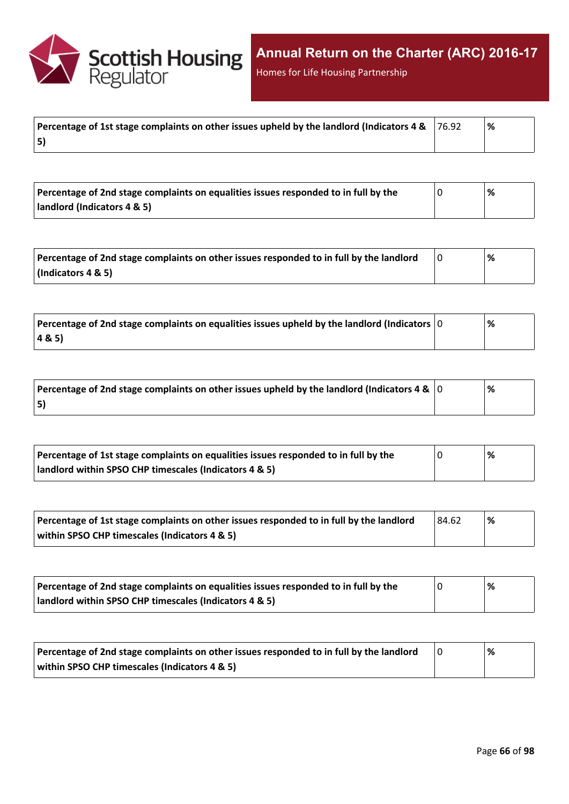

Homes for Life Housing Partnership

| Percentage of 1st stage complaints on other issues upheld by the landlord (Indicators 4 & $\,$ /76.92 | ∣% |
|-------------------------------------------------------------------------------------------------------|----|
| 5)                                                                                                    |    |

| Percentage of 2nd stage complaints on equalities issues responded to in full by the | '% |  |
|-------------------------------------------------------------------------------------|----|--|
| landlord (Indicators 4 & 5)                                                         |    |  |

| Percentage of 2nd stage complaints on other issues responded to in full by the landlord | '% |
|-----------------------------------------------------------------------------------------|----|
| $\vert$ (Indicators 4 & 5)                                                              |    |

| Percentage of 2nd stage complaints on equalities issues upheld by the landlord (Indicators $ 0 $ | % |
|--------------------------------------------------------------------------------------------------|---|
| 48.5                                                                                             |   |

| Percentage of 2nd stage complaints on other issues upheld by the landlord (Indicators 4 & $\vert$ 0 | % |
|-----------------------------------------------------------------------------------------------------|---|
| 5)                                                                                                  |   |

| Percentage of 1st stage complaints on equalities issues responded to in full by the | % |
|-------------------------------------------------------------------------------------|---|
| landlord within SPSO CHP timescales (Indicators 4 & 5)                              |   |

| Percentage of 1st stage complaints on other issues responded to in full by the landlord | 84.62 | % |
|-----------------------------------------------------------------------------------------|-------|---|
| within SPSO CHP timescales (Indicators 4 & 5)                                           |       |   |

| Percentage of 2nd stage complaints on equalities issues responded to in full by the | % |
|-------------------------------------------------------------------------------------|---|
| landlord within SPSO CHP timescales (Indicators 4 & 5)                              |   |

| Percentage of 2nd stage complaints on other issues responded to in full by the landlord | % |
|-----------------------------------------------------------------------------------------|---|
| within SPSO CHP timescales (Indicators 4 & 5)                                           |   |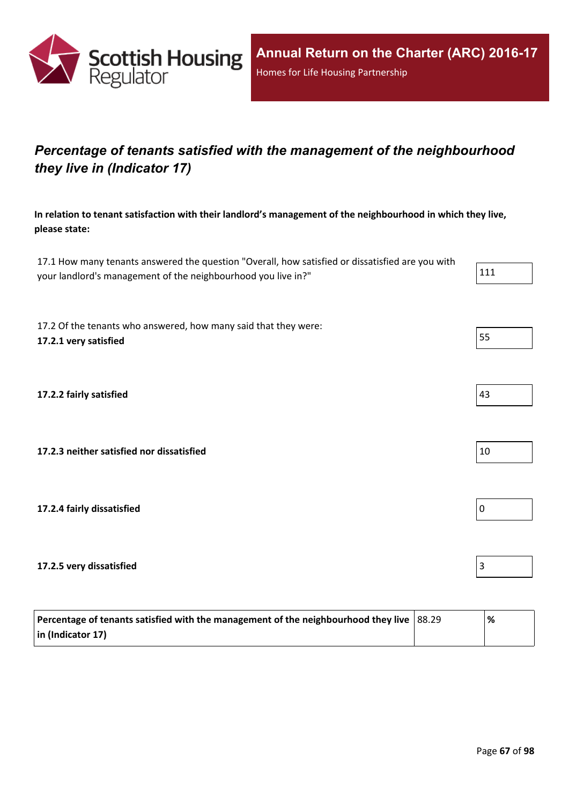

## *Percentage of tenants satisfied with the management of the neighbourhood they live in (Indicator 17)*

**In relation to tenant satisfaction with their landlord's management of the neighbourhood in which they live, please state:**

17.1 How many tenants answered the question "Overall, how satisfied or dissatisfied are you with your landlord's management of the neighbourhood you live in?" 111

17.2 Of the tenants who answered, how many said that they were: **17.2.1 very satisfied** 55

**17.2.2 fairly satisfied** 43

**17.2.3 neither satisfied nor dissatisfied** 10

**17.2.4 fairly dissatisfied** 0

**17.2.5 very dissatisfied** 3

| Percentage of tenants satisfied with the management of the neighbourhood they live $ 88.29 $ | % |
|----------------------------------------------------------------------------------------------|---|
| $\vert$ in (Indicator 17)                                                                    |   |

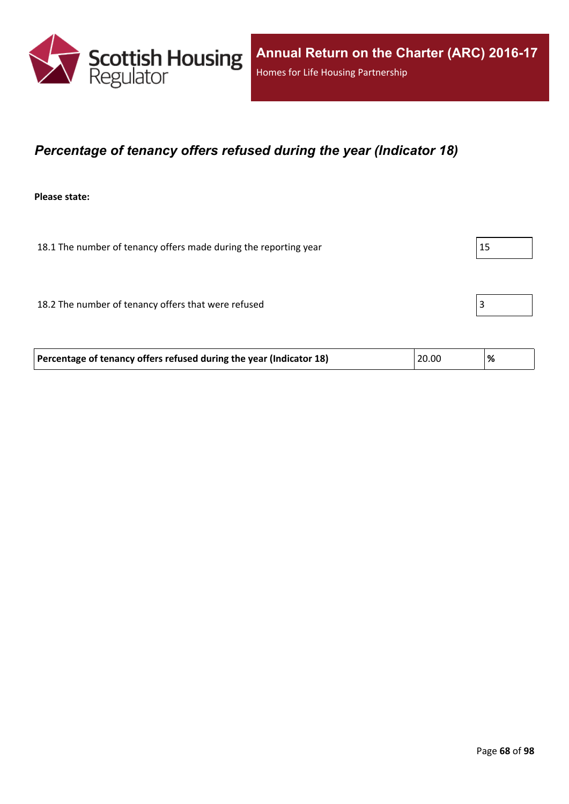

### *Percentage of tenancy offers refused during the year (Indicator 18)*

**Please state:**

18.1 The number of tenancy offers made during the reporting year 15

18.2 The number of tenancy offers that were refused 3

|  | 20.00<br>Percentage of tenancy offers refused during the year (Indicator 18) |  |
|--|------------------------------------------------------------------------------|--|
|--|------------------------------------------------------------------------------|--|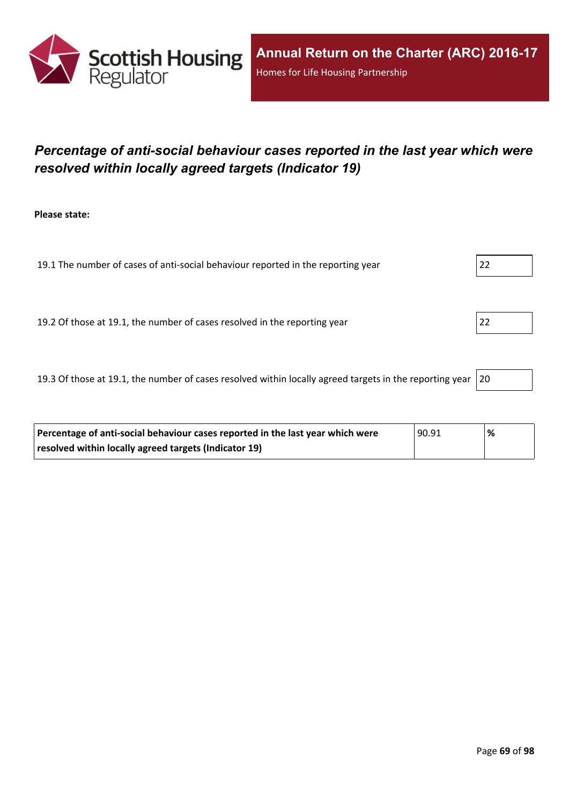

## *Percentage of anti-social behaviour cases reported in the last year which were resolved within locally agreed targets (Indicator 19)*

**Please state:**

19.1 The number of cases of anti-social behaviour reported in the reporting year  $|22|$ 

19.2 Of those at 19.1, the number of cases resolved in the reporting year 22

19.3 Of those at 19.1, the number of cases resolved within locally agreed targets in the reporting year  $|20$ 

| Percentage of anti-social behaviour cases reported in the last year which were | 90.91 | '% |
|--------------------------------------------------------------------------------|-------|----|
| resolved within locally agreed targets (Indicator 19)                          |       |    |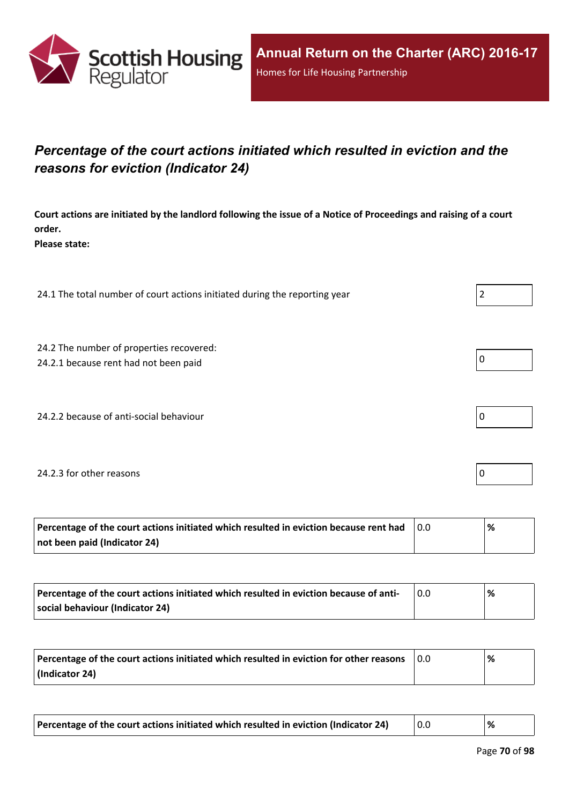

## *Percentage of the court actions initiated which resulted in eviction and the reasons for eviction (Indicator 24)*

Court actions are initiated by the landlord following the issue of a Notice of Proceedings and raising of a court **order.**

**Please state:**

24.1 The total number of court actions initiated during the reporting year  $\vert$  2

24.2 The number of properties recovered:

24.2.1 because rent had not been paid  $\vert 0 \vert$ 

24.2.2 because of anti-social behaviour  $\vert 0 \rangle$ 

#### 24.2.3 for other reasons  $\vert$  0

| Percentage of the court actions initiated which resulted in eviction because rent had | $\overline{0.0}$ | ℅ |
|---------------------------------------------------------------------------------------|------------------|---|
| not been paid (Indicator 24)                                                          |                  |   |

| Percentage of the court actions initiated which resulted in eviction because of anti- | % |
|---------------------------------------------------------------------------------------|---|
| social behaviour (Indicator 24)                                                       |   |

| Percentage of the court actions initiated which resulted in eviction for other reasons | 0.0 | '% |
|----------------------------------------------------------------------------------------|-----|----|
| (Indicator 24)                                                                         |     |    |

| Percentage of the court actions initiated which resulted in eviction (Indicator 24) | 0.0 | % |
|-------------------------------------------------------------------------------------|-----|---|
|-------------------------------------------------------------------------------------|-----|---|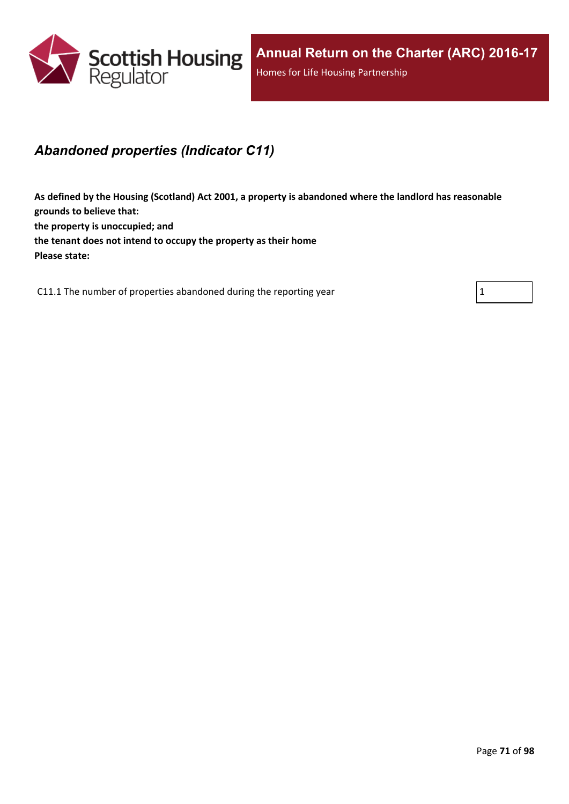

## *Abandoned properties (Indicator C11)*

**As defined by the Housing (Scotland) Act 2001, a property is abandoned where the landlord has reasonable grounds to believe that: the property is unoccupied; and the tenant does not intend to occupy the property as their home Please state:**

C11.1 The number of properties abandoned during the reporting year  $1 \tbinom{1}{1}$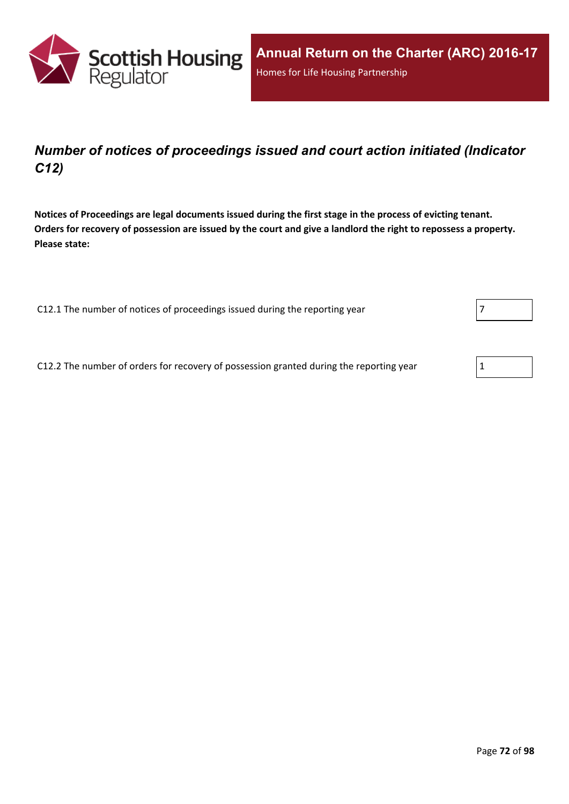

## *Number of notices of proceedings issued and court action initiated (Indicator C12)*

Notices of Proceedings are legal documents issued during the first stage in the process of evicting tenant. Orders for recovery of possession are issued by the court and give a landlord the right to repossess a property. **Please state:**

C12.1 The number of notices of proceedings issued during the reporting year

C12.2 The number of orders for recovery of possession granted during the reporting year 1

|--|--|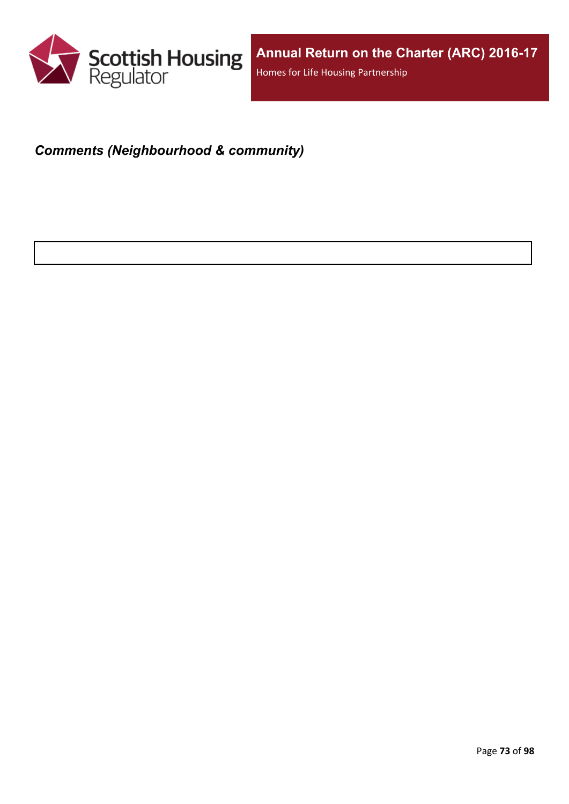

# *Comments (Neighbourhood & community)*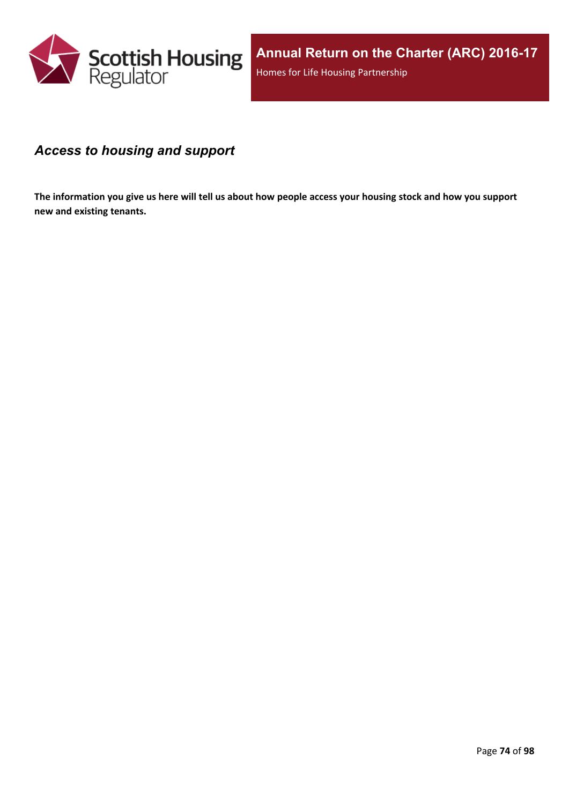

### *Access to housing and support*

The information you give us here will tell us about how people access your housing stock and how you support **new and existing tenants.**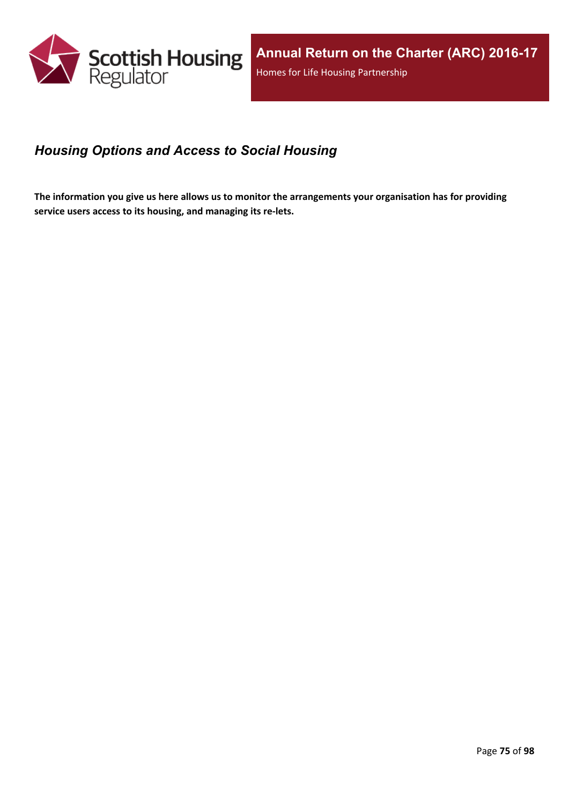

### *Housing Options and Access to Social Housing*

The information you give us here allows us to monitor the arrangements your organisation has for providing **service users access to its housing, and managing its re-lets.**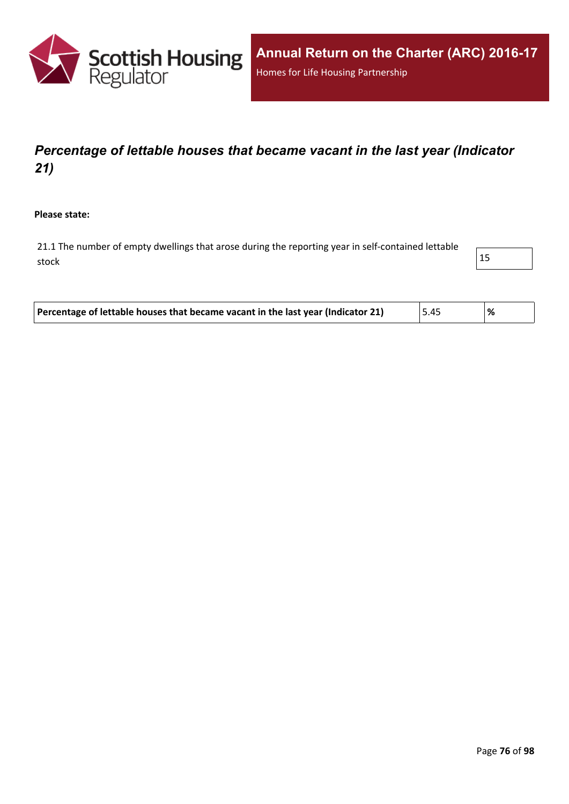

## *Percentage of lettable houses that became vacant in the last year (Indicator 21)*

**Please state:**

21.1 The number of empty dwellings that arose during the reporting year in self-contained lettable stock  $\vert$  15



| Percentage of lettable houses that became vacant in the last year (Indicator 21) | 5.45 |  |
|----------------------------------------------------------------------------------|------|--|
|----------------------------------------------------------------------------------|------|--|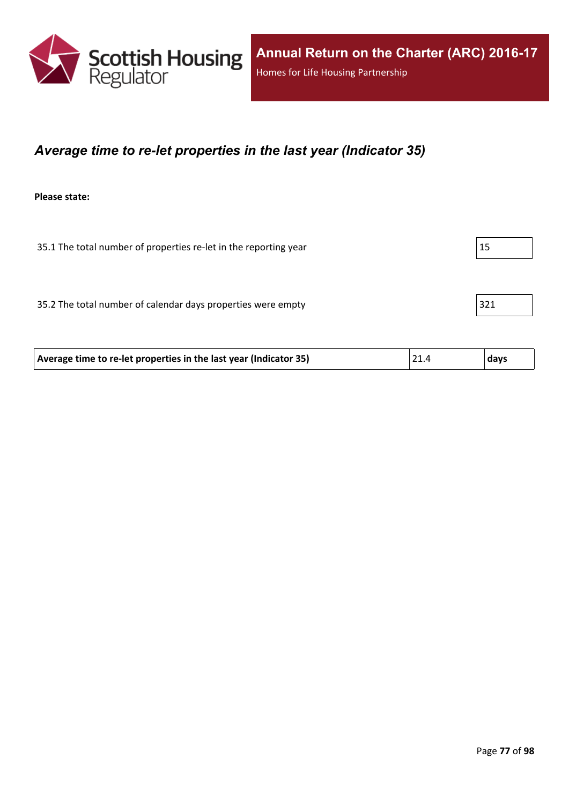

### *Average time to re-let properties in the last year (Indicator 35)*

**Please state:**

35.1 The total number of properties re-let in the reporting year 15 35.2 The total number of calendar days properties were empty 321

| Average time to re-let properties in the last year (Indicator 35)<br>21.4<br>  days |
|-------------------------------------------------------------------------------------|
|-------------------------------------------------------------------------------------|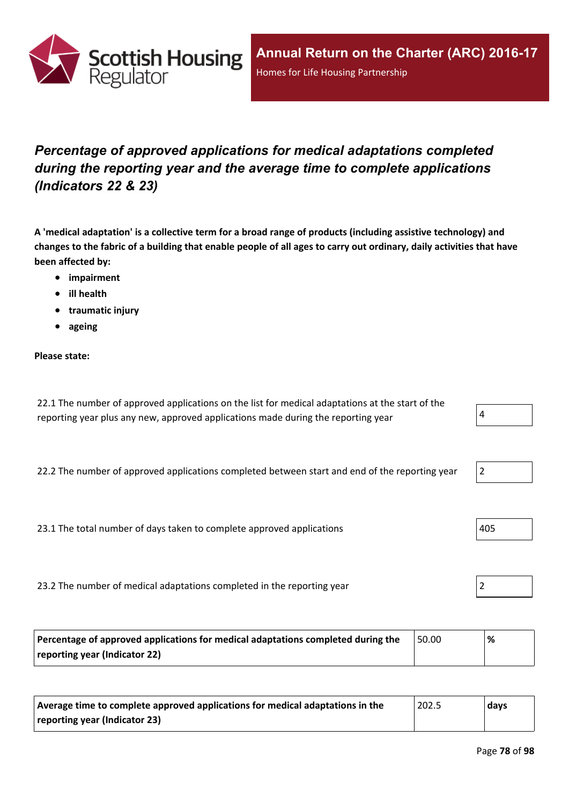

# *Percentage of approved applications for medical adaptations completed during the reporting year and the average time to complete applications (Indicators 22 & 23)*

A 'medical adaptation' is a collective term for a broad range of products (including assistive technology) and changes to the fabric of a building that enable people of all ages to carry out ordinary, daily activities that have **been affected by:**

- **impairment**
- **ill health**
- **traumatic injury**
- **ageing**

#### **Please state:**

22.1 The number of approved applications on the list for medical adaptations at the start of the reporting year plus any new, approved applications made during the reporting year  $4 \frac{4}{3}$ 

22.2 The number of approved applications completed between start and end of the reporting year

23.1 The total number of days taken to complete approved applications and the total number of days taken to complete approved applications

23.2 The number of medical adaptations completed in the reporting year 2

| Percentage of approved applications for medical adaptations completed during the | 50.00 | % |
|----------------------------------------------------------------------------------|-------|---|
| reporting year (Indicator 22)                                                    |       |   |

| Average time to complete approved applications for medical adaptations in the | 202.5 | days |
|-------------------------------------------------------------------------------|-------|------|
| reporting year (Indicator 23)                                                 |       |      |

|--|



|--|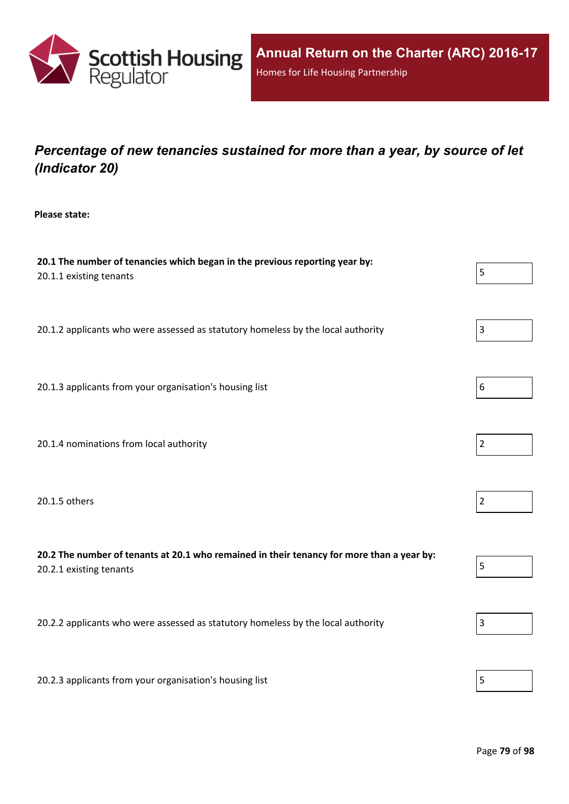

## *Percentage of new tenancies sustained for more than a year, by source of let (Indicator 20)*

**Please state:**

| 20.1 The number of tenancies which began in the previous reporting year by:<br>20.1.1 existing tenants               | 5              |
|----------------------------------------------------------------------------------------------------------------------|----------------|
| 20.1.2 applicants who were assessed as statutory homeless by the local authority                                     | $\mathsf 3$    |
| 20.1.3 applicants from your organisation's housing list                                                              | 6              |
| 20.1.4 nominations from local authority                                                                              | $\overline{2}$ |
| 20.1.5 others                                                                                                        | $\overline{2}$ |
| 20.2 The number of tenants at 20.1 who remained in their tenancy for more than a year by:<br>20.2.1 existing tenants | 5              |
| 20.2.2 applicants who were assessed as statutory homeless by the local authority                                     | $\mathbf{3}$   |
| 20.2.3 applicants from your organisation's housing list                                                              | 5              |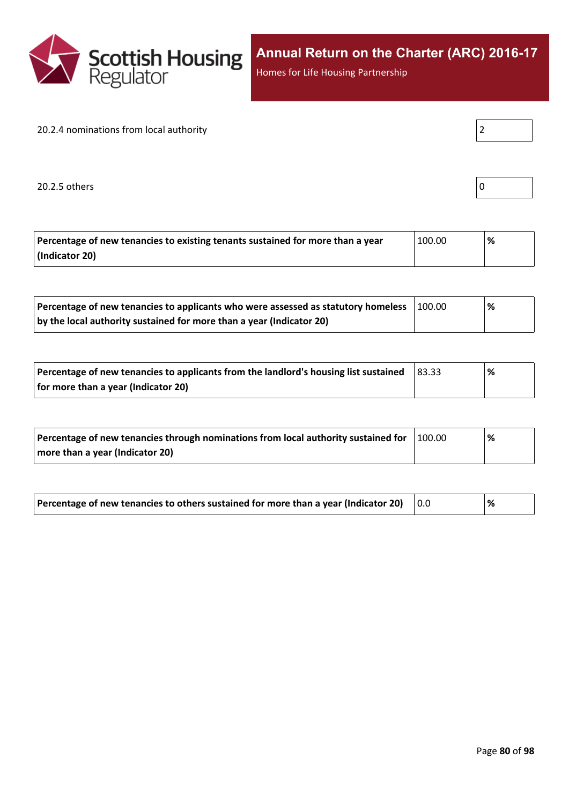

Homes for Life Housing Partnership

#### 20.2.4 nominations from local authority

20.2.5 others

|--|

| Percentage of new tenancies to existing tenants sustained for more than a year | 100.00 | % |
|--------------------------------------------------------------------------------|--------|---|
| (Indicator 20)                                                                 |        |   |

| Percentage of new tenancies to applicants who were assessed as statutory homeless | 100.00 | '% |  |
|-----------------------------------------------------------------------------------|--------|----|--|
| by the local authority sustained for more than a year (Indicator 20)              |        |    |  |

| Percentage of new tenancies to applicants from the landlord's housing list sustained | $ 83.33\rangle$ | % |
|--------------------------------------------------------------------------------------|-----------------|---|
| for more than a year (Indicator 20)                                                  |                 |   |

| Percentage of new tenancies through nominations from local authority sustained for | 100.00 | % |
|------------------------------------------------------------------------------------|--------|---|
| more than a year (Indicator 20)                                                    |        |   |

| Percentage of new tenancies to others sustained for more than a year (Indicator 20) $\,$ $\,$ $\,$ 0.0 $\,$ |  | ℅ |
|-------------------------------------------------------------------------------------------------------------|--|---|
|-------------------------------------------------------------------------------------------------------------|--|---|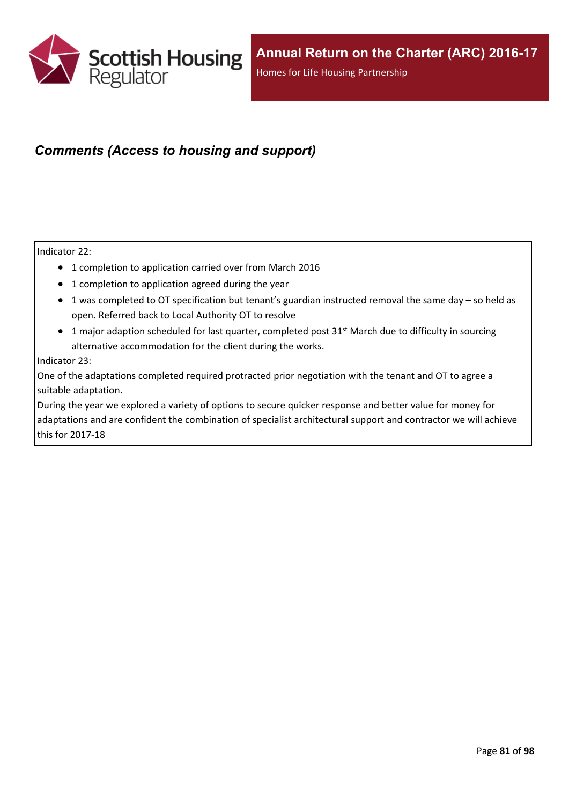

### *Comments (Access to housing and support)*

Indicator 22:

- 1 completion to application carried over from March 2016
- 1 completion to application agreed during the year
- 1 was completed to OT specification but tenant's guardian instructed removal the same day so held as open. Referred back to Local Authority OT to resolve
- $\bullet$  1 major adaption scheduled for last quarter, completed post 31<sup>st</sup> March due to difficulty in sourcing alternative accommodation for the client during the works.

Indicator 23:

One of the adaptations completed required protracted prior negotiation with the tenant and OT to agree a suitable adaptation.

During the year we explored a variety of options to secure quicker response and better value for money for adaptations and are confident the combination of specialist architectural support and contractor we will achieve this for 2017-18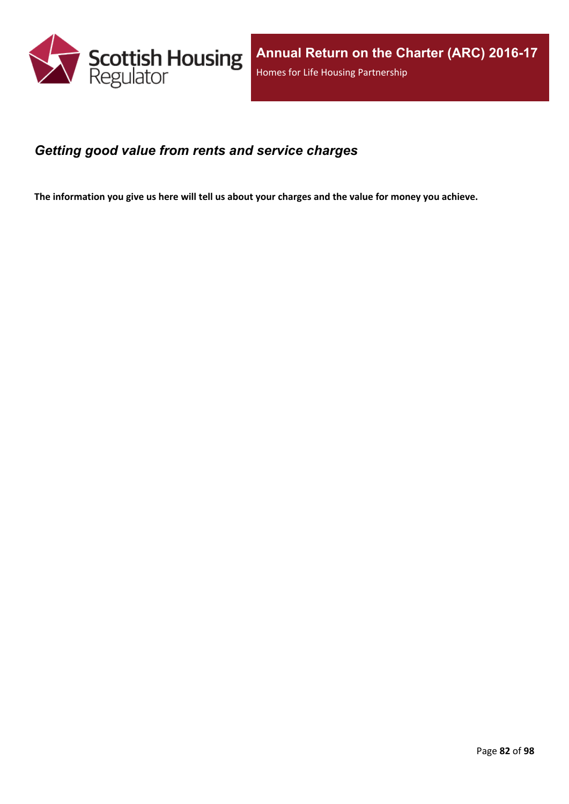

### *Getting good value from rents and service charges*

The information you give us here will tell us about your charges and the value for money you achieve.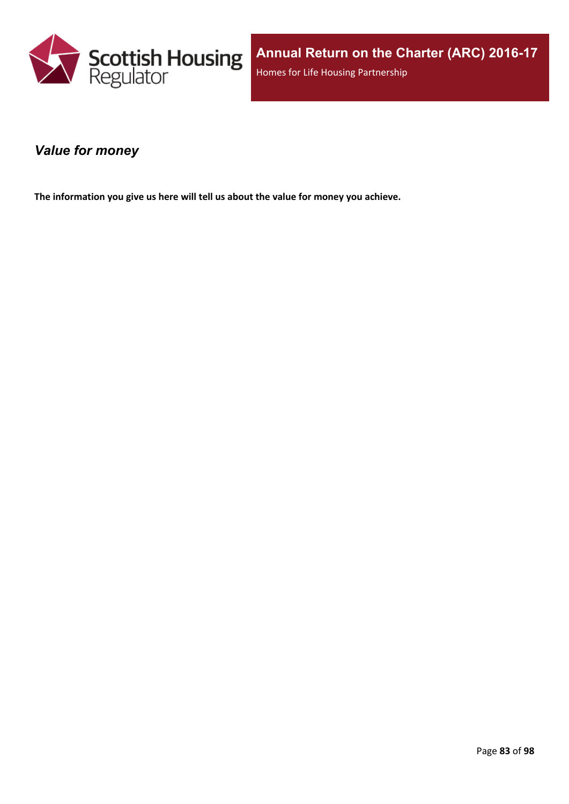

### *Value for money*

**The information you give us here will tell us about the value for money you achieve.**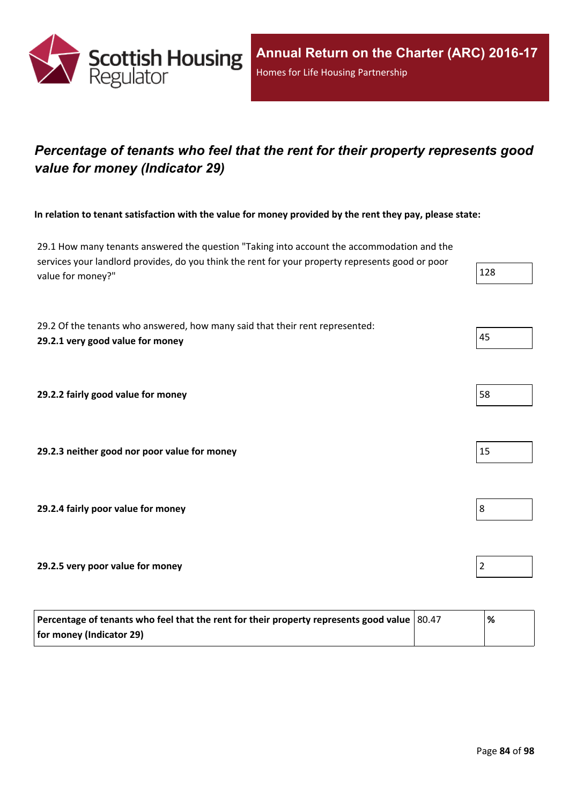

## *Percentage of tenants who feel that the rent for their property represents good value for money (Indicator 29)*

In relation to tenant satisfaction with the value for money provided by the rent they pay, please state:

29.1 How many tenants answered the question "Taking into account the accommodation and the services your landlord provides, do you think the rent for your property represents good or poor value for money?" 128

29.2 Of the tenants who answered, how many said that their rent represented: **29.2.1 very good value for money** 45

**29.2.2 fairly good value for money** 58

**29.2.3 neither good nor poor value for money** 15

**29.2.4 fairly poor value for money** 8

**29.2.5 very poor value for money** 2

| Percentage of tenants who feel that the rent for their property represents good value $ 80.47 $ | '% |
|-------------------------------------------------------------------------------------------------|----|
| for money (Indicator 29)                                                                        |    |

- 
-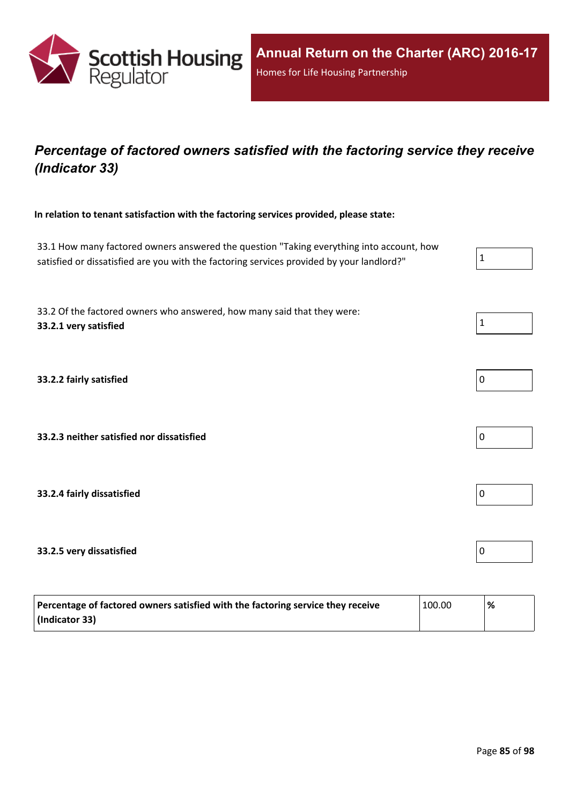

## *Percentage of factored owners satisfied with the factoring service they receive (Indicator 33)*

**In relation to tenant satisfaction with the factoring services provided, please state:**

33.1 How many factored owners answered the question "Taking everything into account, how satisfied or dissatisfied are you with the factoring services provided by your landlord?"

33.2 Of the factored owners who answered, how many said that they were: **33.2.1 very satisfied** 1

**33.2.2 fairly satisfied** 0

**33.2.3 neither satisfied nor dissatisfied** 0

**33.2.4 fairly dissatisfied** 0

#### **33.2.5 very dissatisfied** 0

| Percentage of factored owners satisfied with the factoring service they receive | 100.00 | '% |
|---------------------------------------------------------------------------------|--------|----|
| (Indicator 33)                                                                  |        |    |



| 0<br>I |  |  |  |
|--------|--|--|--|
|        |  |  |  |



| 0 |  |  |  |
|---|--|--|--|
|   |  |  |  |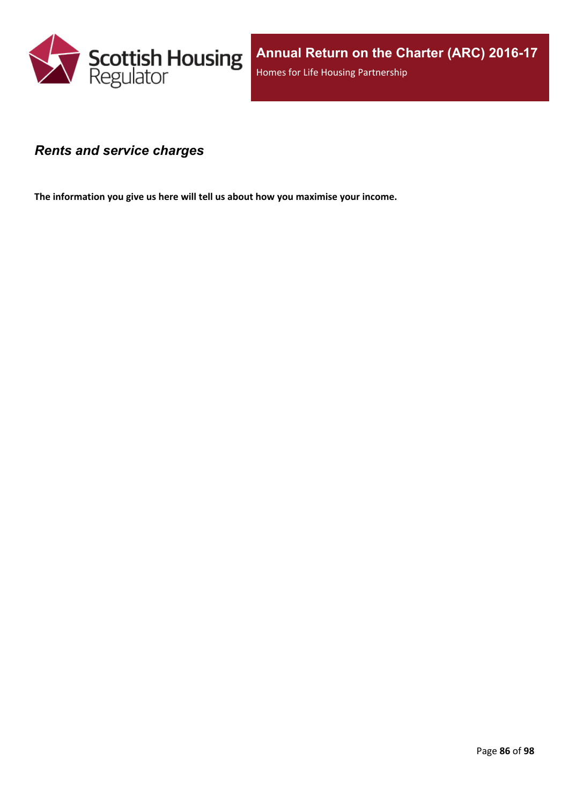

### *Rents and service charges*

**The information you give us here will tell us about how you maximise your income.**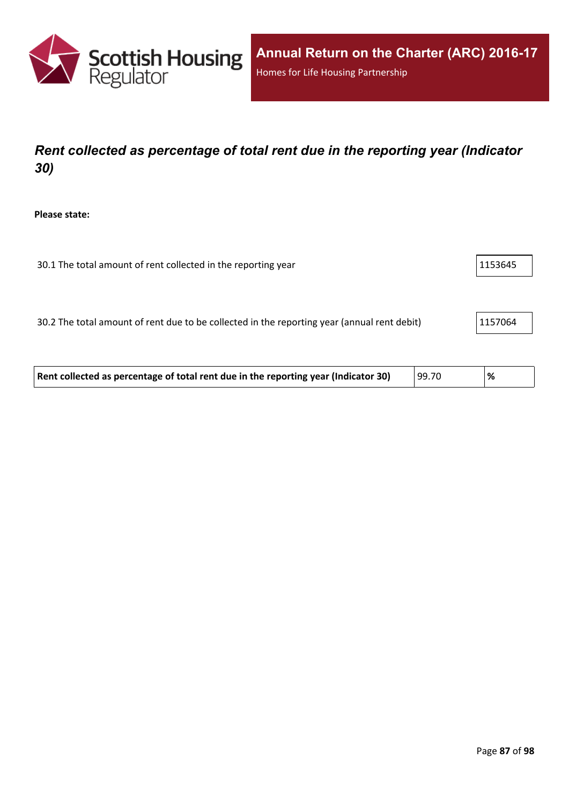

## *Rent collected as percentage of total rent due in the reporting year (Indicator 30)*

**Please state:**

| 30.1 The total amount of rent collected in the reporting year | 1153645 |
|---------------------------------------------------------------|---------|
|---------------------------------------------------------------|---------|

30.2 The total amount of rent due to be collected in the reporting year (annual rent debit) 1157064

| Rent collected as percentage of total rent due in the reporting year (Indicator 30) | 99.70 | % |  |
|-------------------------------------------------------------------------------------|-------|---|--|
|-------------------------------------------------------------------------------------|-------|---|--|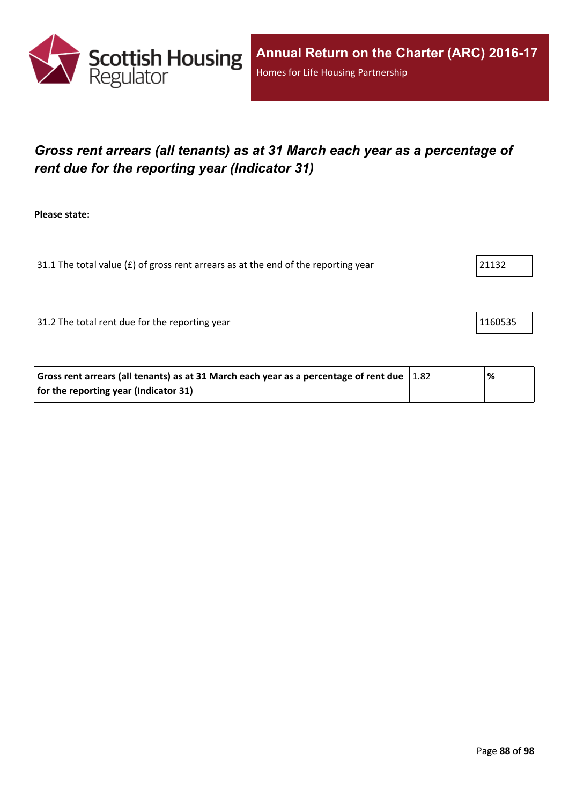

## *Gross rent arrears (all tenants) as at 31 March each year as a percentage of rent due for the reporting year (Indicator 31)*

**Please state:**

31.1 The total value  $(E)$  of gross rent arrears as at the end of the reporting year 21132

31.2 The total rent due for the reporting year 1160535 and 1160535

| Gross rent arrears (all tenants) as at 31 March each year as a percentage of rent due $\vert 1.82 \rangle$ | '% |
|------------------------------------------------------------------------------------------------------------|----|
| for the reporting year (Indicator 31)                                                                      |    |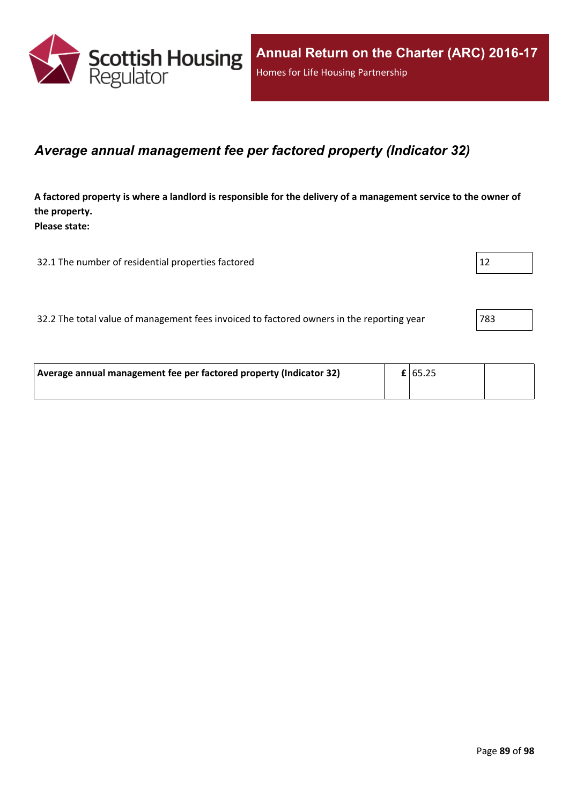

### *Average annual management fee per factored property (Indicator 32)*

A factored property is where a landlord is responsible for the delivery of a management service to the owner of **the property. Please state:**

32.1 The number of residential properties factored 12

| 32.2 The total value of management fees invoiced to factored owners in the reporting year | 783 |
|-------------------------------------------------------------------------------------------|-----|
|-------------------------------------------------------------------------------------------|-----|

| Average annual management fee per factored property (Indicator 32) | $\mathbf{f}$ 65.25 |  |
|--------------------------------------------------------------------|--------------------|--|
|                                                                    |                    |  |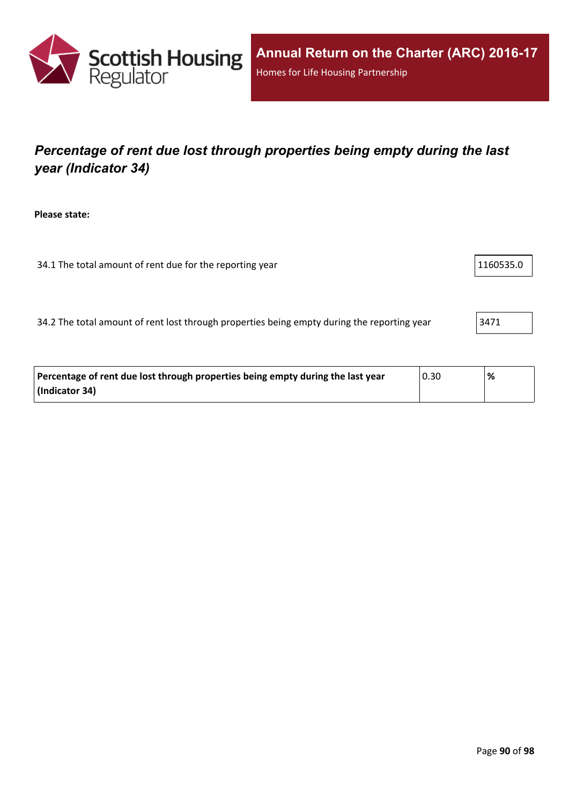

# *Percentage of rent due lost through properties being empty during the last year (Indicator 34)*

**Please state:**

34.1 The total amount of rent due for the reporting year 1160535.0

34.2 The total amount of rent lost through properties being empty during the reporting year 3471

| Percentage of rent due lost through properties being empty during the last year |  | % |
|---------------------------------------------------------------------------------|--|---|
| (Indicator 34)                                                                  |  |   |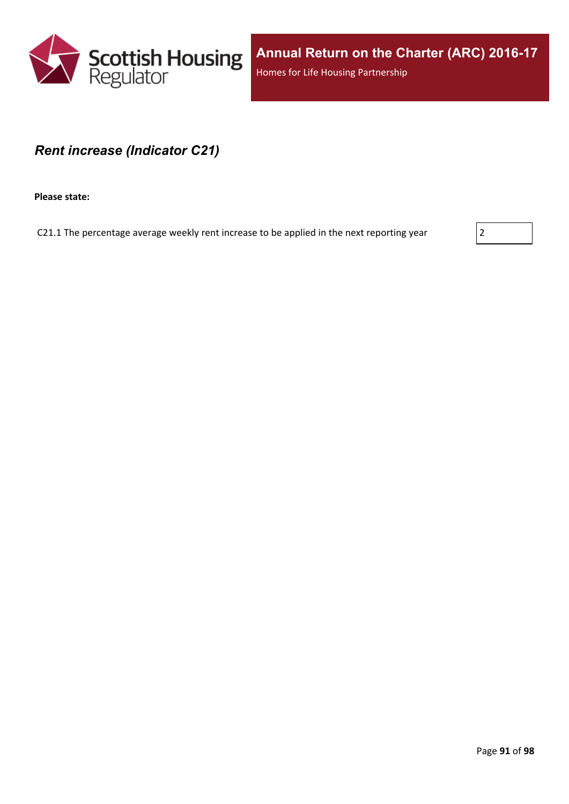

**Annual Return on the Charter (ARC) 2016-17** Homes for Life Housing Partnership

### *Rent increase (Indicator C21)*

**Please state:**

C21.1 The percentage average weekly rent increase to be applied in the next reporting year  $|2|$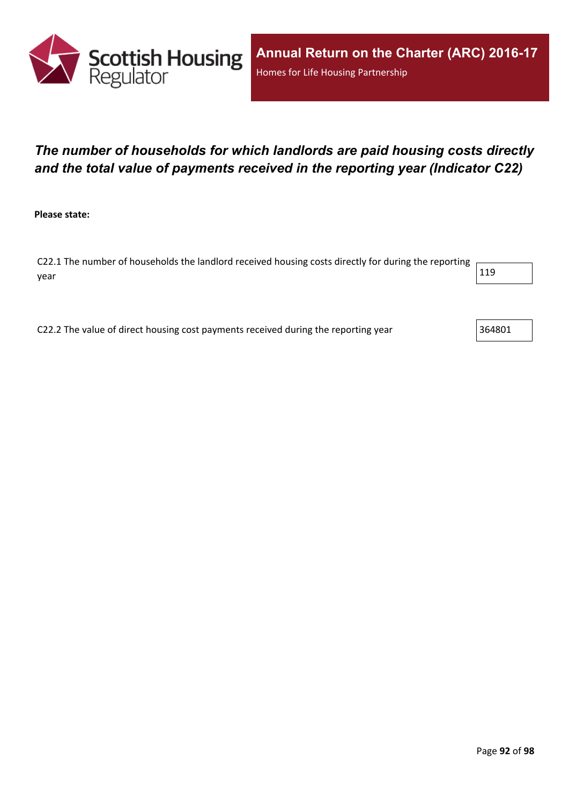

## *The number of households for which landlords are paid housing costs directly and the total value of payments received in the reporting year (Indicator C22)*

**Please state:**

C22.1 The number of households the landlord received housing costs directly for during the reporting year  $\vert$  119  $\vert$ 

C22.2 The value of direct housing cost payments received during the reporting year  $364801$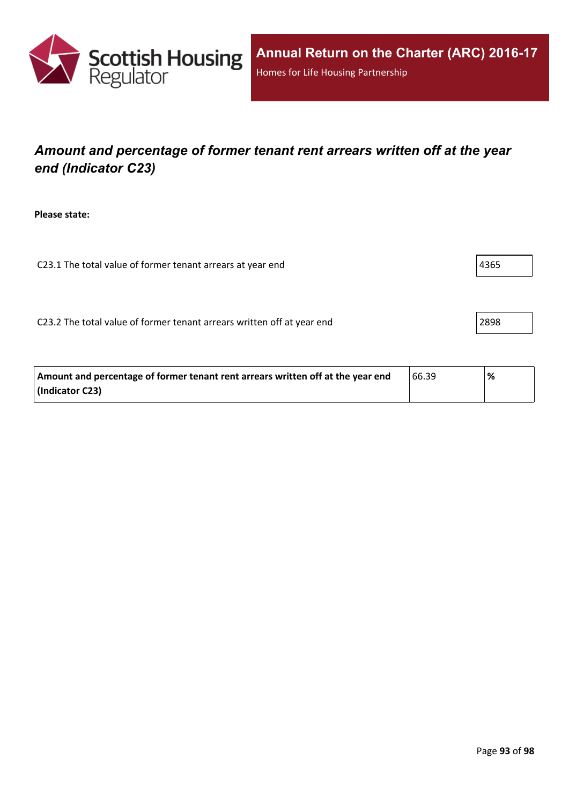

## *Amount and percentage of former tenant rent arrears written off at the year end (Indicator C23)*

**Please state:**

C23.1 The total value of former tenant arrears at year end  $|4365\rangle$ 

C23.2 The total value of former tenant arrears written off at year end 2898

| Amount and percentage of former tenant rent arrears written off at the year end | 66.39 | % |
|---------------------------------------------------------------------------------|-------|---|
| (Indicator C23)                                                                 |       |   |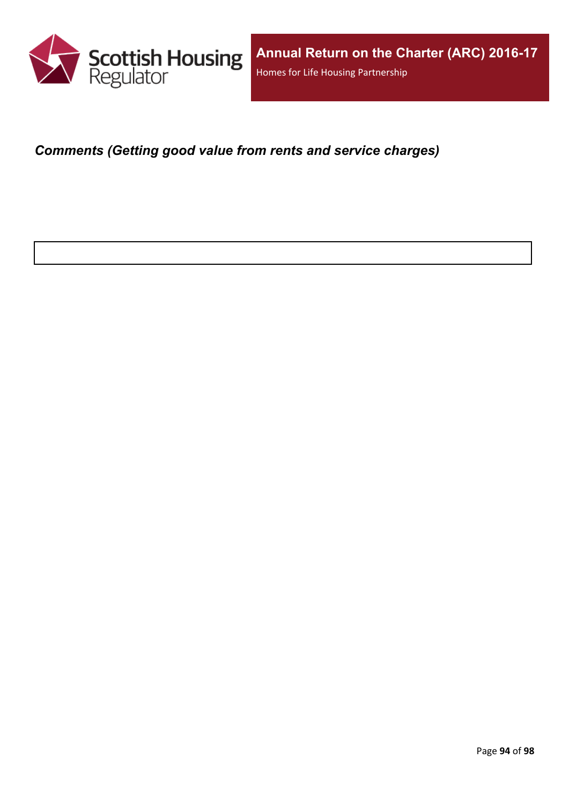

*Comments (Getting good value from rents and service charges)*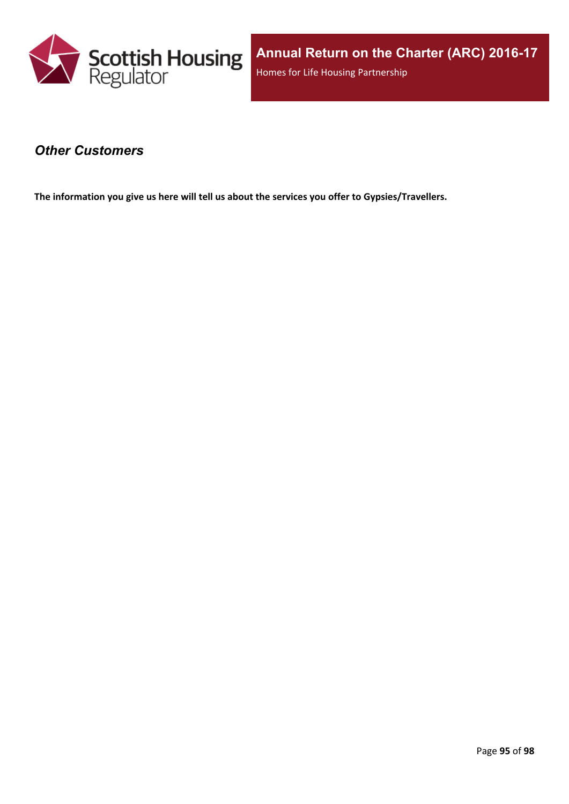

### *Other Customers*

**The information you give us here will tell us about the services you offer to Gypsies/Travellers.**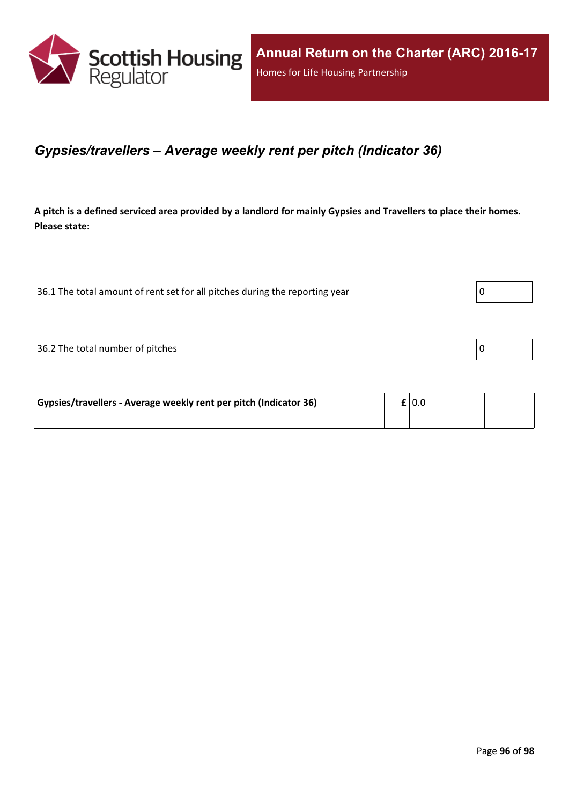

### *Gypsies/travellers – Average weekly rent per pitch (Indicator 36)*

A pitch is a defined serviced area provided by a landlord for mainly Gypsies and Travellers to place their homes. **Please state:**

36.1 The total amount of rent set for all pitches during the reporting year  $\vert$  0

36.2 The total number of pitches 0

| Gypsies/travellers - Average weekly rent per pitch (Indicator 36) | $\mathbf{f}$   0.0 |  |
|-------------------------------------------------------------------|--------------------|--|
|                                                                   |                    |  |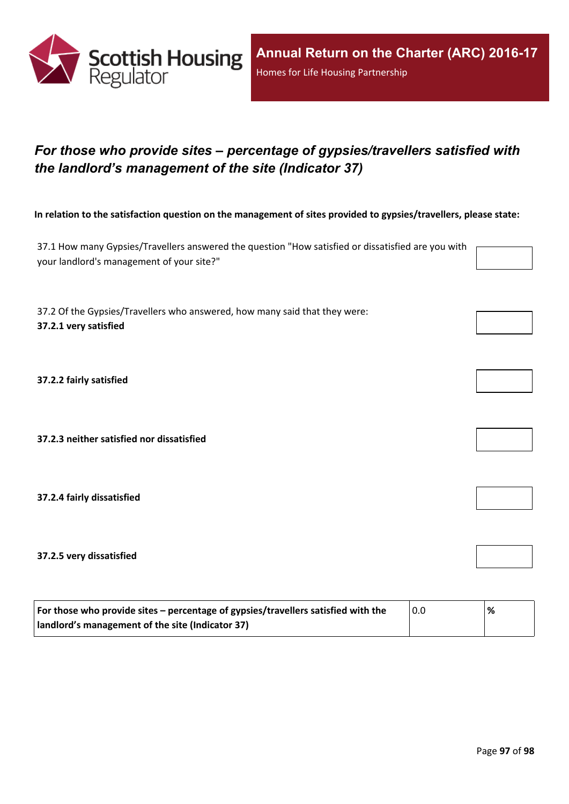

## *For those who provide sites – percentage of gypsies/travellers satisfied with the landlord's management of the site (Indicator 37)*

In relation to the satisfaction question on the management of sites provided to gypsies/travellers, please state:

37.1 How many Gypsies/Travellers answered the question "How satisfied or dissatisfied are you with your landlord's management of your site?"

37.2 Of the Gypsies/Travellers who answered, how many said that they were: **37.2.1 very satisfied**

**37.2.2 fairly satisfied**

**37.2.3 neither satisfied nor dissatisfied**

**37.2.4 fairly dissatisfied**

**37.2.5 very dissatisfied**

| For those who provide sites – percentage of gypsies/travellers satisfied with the | 0.0 | % |
|-----------------------------------------------------------------------------------|-----|---|
| I landlord's management of the site (Indicator 37)                                |     |   |